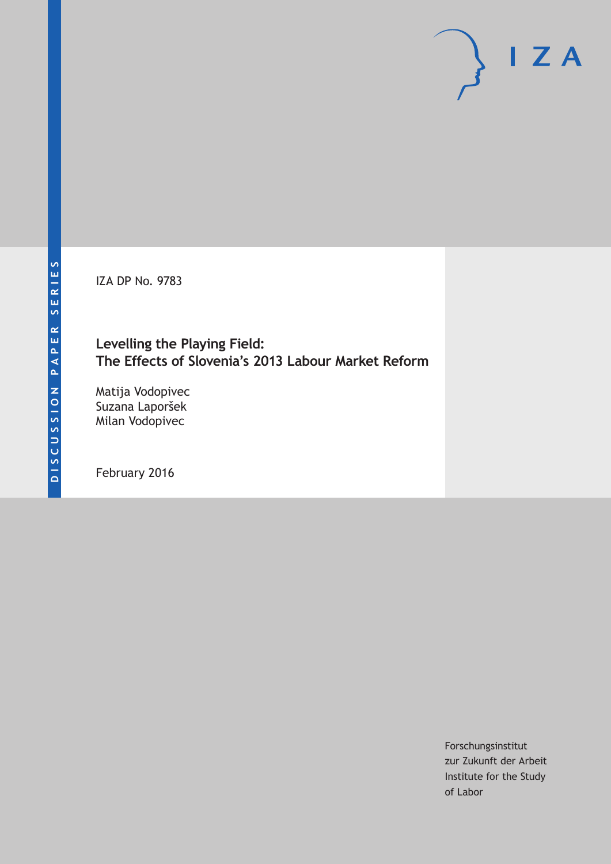IZA DP No. 9783

# **Levelling the Playing Field: The Effects of Slovenia's 2013 Labour Market Reform**

Matija Vodopivec Suzana Laporšek Milan Vodopivec

February 2016

Forschungsinstitut zur Zukunft der Arbeit Institute for the Study of Labor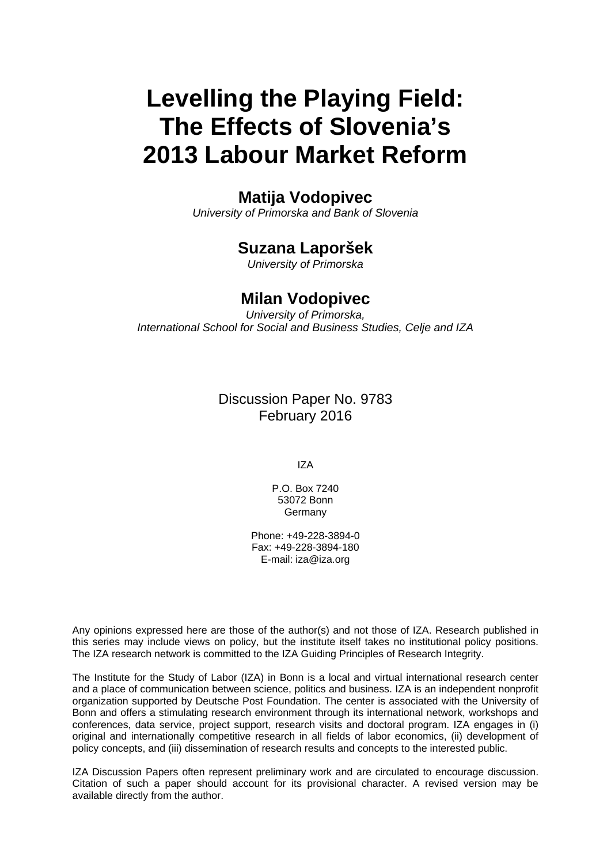# **Levelling the Playing Field: The Effects of Slovenia's 2013 Labour Market Reform**

### **Matija Vodopivec**

*University of Primorska and Bank of Slovenia* 

# **Suzana Laporšek**

*University of Primorska* 

### **Milan Vodopivec**

*University of Primorska, International School for Social and Business Studies, Celje and IZA* 

> Discussion Paper No. 9783 February 2016

> > IZA

P.O. Box 7240 53072 Bonn Germany

Phone: +49-228-3894-0 Fax: +49-228-3894-180 E-mail: iza@iza.org

Any opinions expressed here are those of the author(s) and not those of IZA. Research published in this series may include views on policy, but the institute itself takes no institutional policy positions. The IZA research network is committed to the IZA Guiding Principles of Research Integrity.

The Institute for the Study of Labor (IZA) in Bonn is a local and virtual international research center and a place of communication between science, politics and business. IZA is an independent nonprofit organization supported by Deutsche Post Foundation. The center is associated with the University of Bonn and offers a stimulating research environment through its international network, workshops and conferences, data service, project support, research visits and doctoral program. IZA engages in (i) original and internationally competitive research in all fields of labor economics, (ii) development of policy concepts, and (iii) dissemination of research results and concepts to the interested public.

IZA Discussion Papers often represent preliminary work and are circulated to encourage discussion. Citation of such a paper should account for its provisional character. A revised version may be available directly from the author.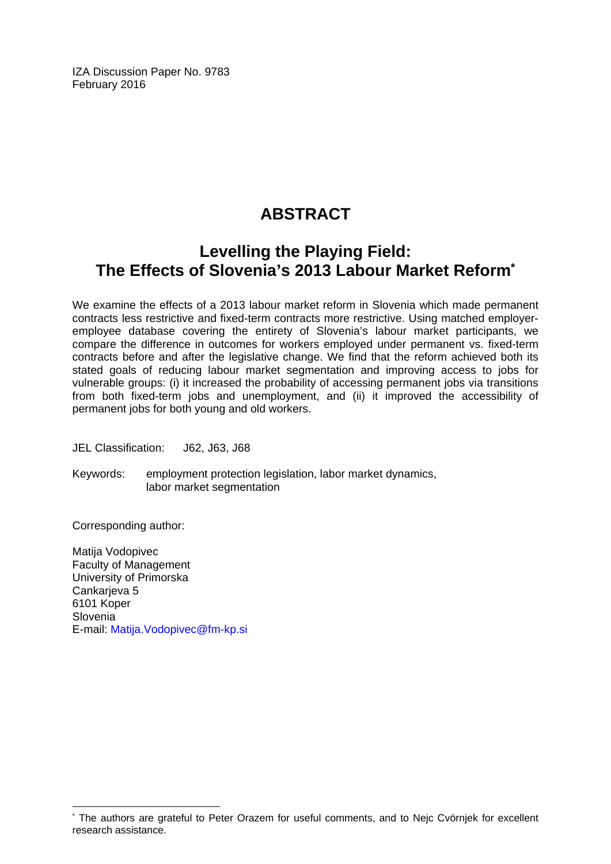IZA Discussion Paper No. 9783 February 2016

# **ABSTRACT**

# **Levelling the Playing Field: The Effects of Slovenia's 2013 Labour Market Reform\***

We examine the effects of a 2013 labour market reform in Slovenia which made permanent contracts less restrictive and fixed-term contracts more restrictive. Using matched employeremployee database covering the entirety of Slovenia's labour market participants, we compare the difference in outcomes for workers employed under permanent vs. fixed-term contracts before and after the legislative change. We find that the reform achieved both its stated goals of reducing labour market segmentation and improving access to jobs for vulnerable groups: (i) it increased the probability of accessing permanent jobs via transitions from both fixed-term jobs and unemployment, and (ii) it improved the accessibility of permanent jobs for both young and old workers.

JEL Classification: J62, J63, J68

Keywords: employment protection legislation, labor market dynamics, labor market segmentation

Corresponding author:

 $\overline{\phantom{a}}$ 

Matija Vodopivec Faculty of Management University of Primorska Cankarieva 5 6101 Koper Slovenia E-mail: Matija.Vodopivec@fm-kp.si

<sup>\*</sup> The authors are grateful to Peter Orazem for useful comments, and to Nejc Cvörnjek for excellent research assistance.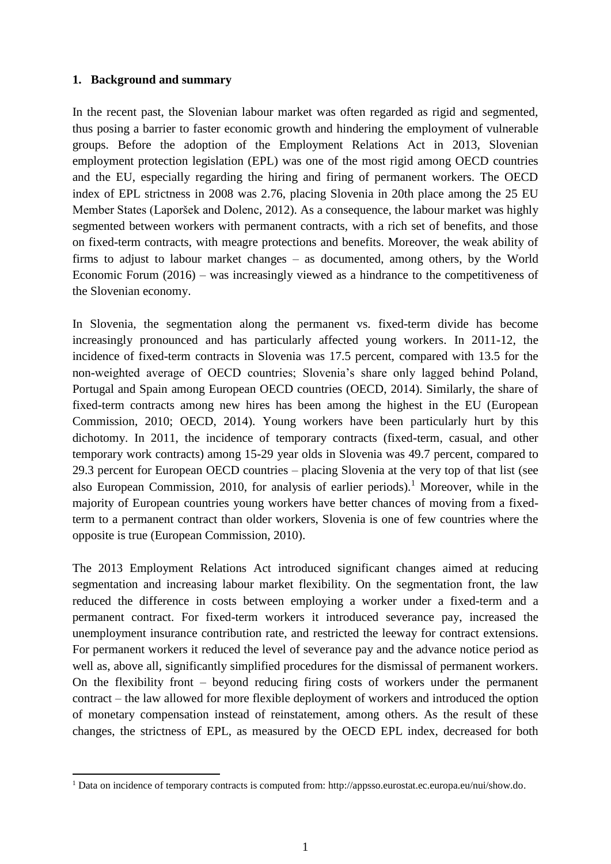#### **1. Background and summary**

l

In the recent past, the Slovenian labour market was often regarded as rigid and segmented, thus posing a barrier to faster economic growth and hindering the employment of vulnerable groups. Before the adoption of the Employment Relations Act in 2013, Slovenian employment protection legislation (EPL) was one of the most rigid among OECD countries and the EU, especially regarding the hiring and firing of permanent workers. The OECD index of EPL strictness in 2008 was 2.76, placing Slovenia in 20th place among the 25 EU Member States (Laporšek and Dolenc, 2012). As a consequence, the labour market was highly segmented between workers with permanent contracts, with a rich set of benefits, and those on fixed-term contracts, with meagre protections and benefits. Moreover, the weak ability of firms to adjust to labour market changes – as documented, among others, by the World Economic Forum (2016) – was increasingly viewed as a hindrance to the competitiveness of the Slovenian economy.

In Slovenia, the segmentation along the permanent vs. fixed-term divide has become increasingly pronounced and has particularly affected young workers. In 2011-12, the incidence of fixed-term contracts in Slovenia was 17.5 percent, compared with 13.5 for the non-weighted average of OECD countries; Slovenia's share only lagged behind Poland, Portugal and Spain among European OECD countries (OECD, 2014). Similarly, the share of fixed-term contracts among new hires has been among the highest in the EU (European Commission, 2010; OECD, 2014). Young workers have been particularly hurt by this dichotomy. In 2011, the incidence of temporary contracts (fixed-term, casual, and other temporary work contracts) among 15-29 year olds in Slovenia was 49.7 percent, compared to 29.3 percent for European OECD countries – placing Slovenia at the very top of that list (see also European Commission, 2010, for analysis of earlier periods).<sup>1</sup> Moreover, while in the majority of European countries young workers have better chances of moving from a fixedterm to a permanent contract than older workers, Slovenia is one of few countries where the opposite is true (European Commission, 2010).

The 2013 Employment Relations Act introduced significant changes aimed at reducing segmentation and increasing labour market flexibility. On the segmentation front, the law reduced the difference in costs between employing a worker under a fixed-term and a permanent contract. For fixed-term workers it introduced severance pay, increased the unemployment insurance contribution rate, and restricted the leeway for contract extensions. For permanent workers it reduced the level of severance pay and the advance notice period as well as, above all, significantly simplified procedures for the dismissal of permanent workers. On the flexibility front – beyond reducing firing costs of workers under the permanent contract – the law allowed for more flexible deployment of workers and introduced the option of monetary compensation instead of reinstatement, among others. As the result of these changes, the strictness of EPL, as measured by the OECD EPL index, decreased for both

<sup>1</sup> Data on incidence of temporary contracts is computed from: http://appsso.eurostat.ec.europa.eu/nui/show.do.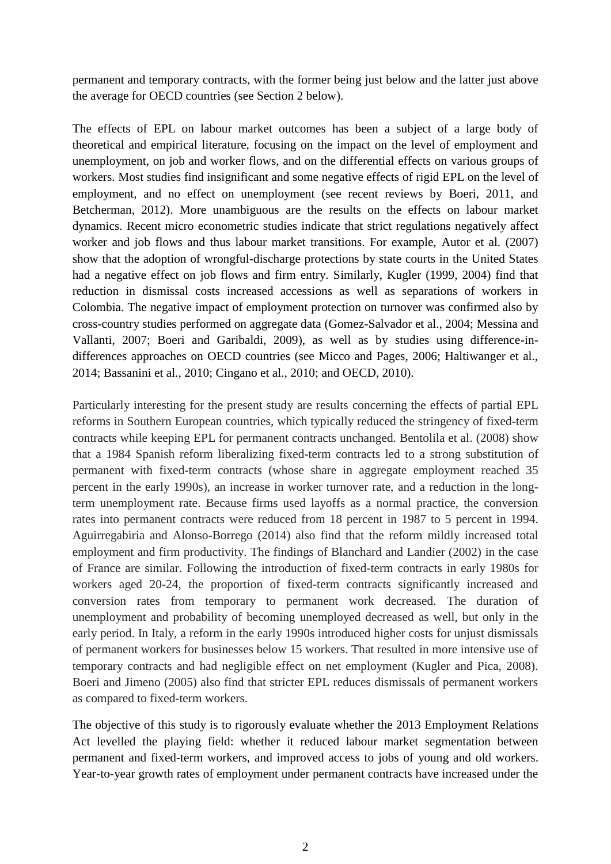permanent and temporary contracts, with the former being just below and the latter just above the average for OECD countries (see Section 2 below).

The effects of EPL on labour market outcomes has been a subject of a large body of theoretical and empirical literature, focusing on the impact on the level of employment and unemployment, on job and worker flows, and on the differential effects on various groups of workers. Most studies find insignificant and some negative effects of rigid EPL on the level of employment, and no effect on unemployment (see recent reviews by Boeri, 2011, and Betcherman, 2012). More unambiguous are the results on the effects on labour market dynamics. Recent micro econometric studies indicate that strict regulations negatively affect worker and job flows and thus labour market transitions. For example, Autor et al. (2007) show that the adoption of wrongful-discharge protections by state courts in the United States had a negative effect on job flows and firm entry. Similarly, Kugler (1999, 2004) find that reduction in dismissal costs increased accessions as well as separations of workers in Colombia. The negative impact of employment protection on turnover was confirmed also by cross-country studies performed on aggregate data (Gomez-Salvador et al., 2004; Messina and Vallanti, 2007; Boeri and Garibaldi, 2009), as well as by studies using difference-indifferences approaches on OECD countries (see Micco and Pages, 2006; Haltiwanger et al., 2014; Bassanini et al., 2010; Cingano et al., 2010; and OECD, 2010).

Particularly interesting for the present study are results concerning the effects of partial EPL reforms in Southern European countries, which typically reduced the stringency of fixed-term contracts while keeping EPL for permanent contracts unchanged. Bentolila et al. (2008) show that a 1984 Spanish reform liberalizing fixed-term contracts led to a strong substitution of permanent with fixed-term contracts (whose share in aggregate employment reached 35 percent in the early 1990s), an increase in worker turnover rate, and a reduction in the longterm unemployment rate. Because firms used layoffs as a normal practice, the conversion rates into permanent contracts were reduced from 18 percent in 1987 to 5 percent in 1994. Aguirregabiria and Alonso-Borrego (2014) also find that the reform mildly increased total employment and firm productivity. The findings of Blanchard and Landier (2002) in the case of France are similar. Following the introduction of fixed-term contracts in early 1980s for workers aged 20-24, the proportion of fixed-term contracts significantly increased and conversion rates from temporary to permanent work decreased. The duration of unemployment and probability of becoming unemployed decreased as well, but only in the early period. In Italy, a reform in the early 1990s introduced higher costs for unjust dismissals of permanent workers for businesses below 15 workers. That resulted in more intensive use of temporary contracts and had negligible effect on net employment (Kugler and Pica, 2008). Boeri and Jimeno (2005) also find that stricter EPL reduces dismissals of permanent workers as compared to fixed-term workers.

The objective of this study is to rigorously evaluate whether the 2013 Employment Relations Act levelled the playing field: whether it reduced labour market segmentation between permanent and fixed-term workers, and improved access to jobs of young and old workers. Year-to-year growth rates of employment under permanent contracts have increased under the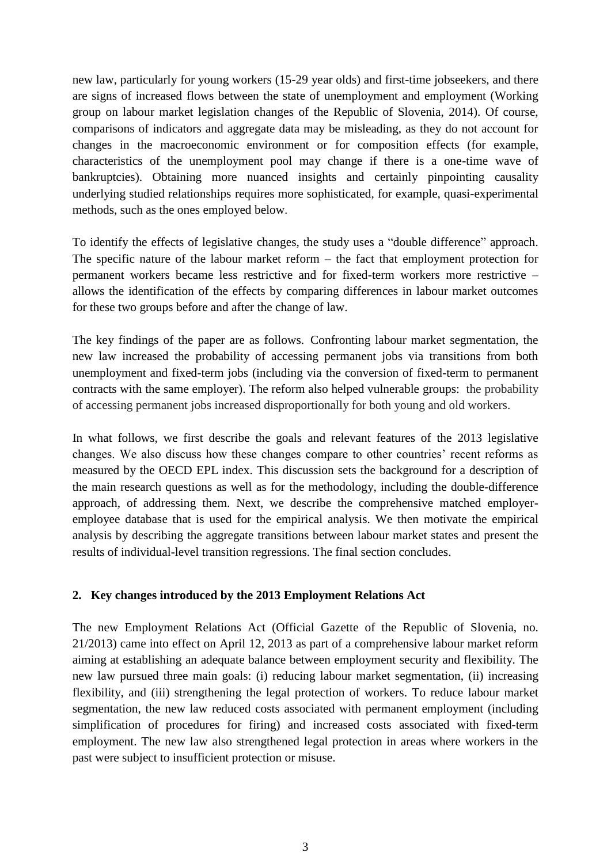new law, particularly for young workers (15-29 year olds) and first-time jobseekers, and there are signs of increased flows between the state of unemployment and employment (Working group on labour market legislation changes of the Republic of Slovenia, 2014). Of course, comparisons of indicators and aggregate data may be misleading, as they do not account for changes in the macroeconomic environment or for composition effects (for example, characteristics of the unemployment pool may change if there is a one-time wave of bankruptcies). Obtaining more nuanced insights and certainly pinpointing causality underlying studied relationships requires more sophisticated, for example, quasi-experimental methods, such as the ones employed below.

To identify the effects of legislative changes, the study uses a "double difference" approach. The specific nature of the labour market reform – the fact that employment protection for permanent workers became less restrictive and for fixed-term workers more restrictive – allows the identification of the effects by comparing differences in labour market outcomes for these two groups before and after the change of law.

The key findings of the paper are as follows. Confronting labour market segmentation, the new law increased the probability of accessing permanent jobs via transitions from both unemployment and fixed-term jobs (including via the conversion of fixed-term to permanent contracts with the same employer). The reform also helped vulnerable groups: the probability of accessing permanent jobs increased disproportionally for both young and old workers.

In what follows, we first describe the goals and relevant features of the 2013 legislative changes. We also discuss how these changes compare to other countries' recent reforms as measured by the OECD EPL index. This discussion sets the background for a description of the main research questions as well as for the methodology, including the double-difference approach, of addressing them. Next, we describe the comprehensive matched employeremployee database that is used for the empirical analysis. We then motivate the empirical analysis by describing the aggregate transitions between labour market states and present the results of individual-level transition regressions. The final section concludes.

### **2. Key changes introduced by the 2013 Employment Relations Act**

The new Employment Relations Act (Official Gazette of the Republic of Slovenia, no. 21/2013) came into effect on April 12, 2013 as part of a comprehensive labour market reform aiming at establishing an adequate balance between employment security and flexibility. The new law pursued three main goals: (i) reducing labour market segmentation, (ii) increasing flexibility, and (iii) strengthening the legal protection of workers. To reduce labour market segmentation, the new law reduced costs associated with permanent employment (including simplification of procedures for firing) and increased costs associated with fixed-term employment. The new law also strengthened legal protection in areas where workers in the past were subject to insufficient protection or misuse.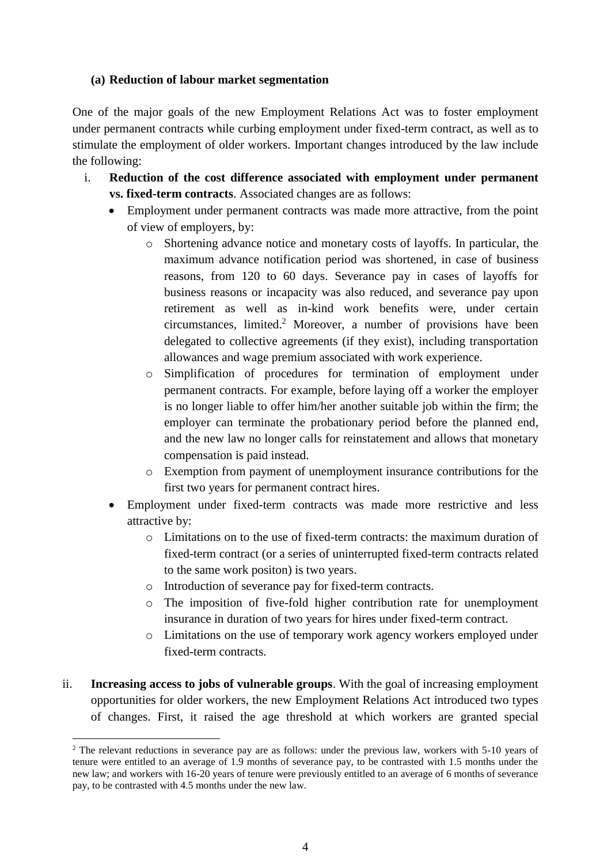#### **(a) Reduction of labour market segmentation**

One of the major goals of the new Employment Relations Act was to foster employment under permanent contracts while curbing employment under fixed-term contract, as well as to stimulate the employment of older workers. Important changes introduced by the law include the following:

- i. **Reduction of the cost difference associated with employment under permanent vs. fixed-term contracts**. Associated changes are as follows:
	- Employment under permanent contracts was made more attractive, from the point of view of employers, by:
		- o Shortening advance notice and monetary costs of layoffs. In particular, the maximum advance notification period was shortened, in case of business reasons, from 120 to 60 days. Severance pay in cases of layoffs for business reasons or incapacity was also reduced, and severance pay upon retirement as well as in-kind work benefits were, under certain circumstances, limited. <sup>2</sup> Moreover, a number of provisions have been delegated to collective agreements (if they exist), including transportation allowances and wage premium associated with work experience.
		- o Simplification of procedures for termination of employment under permanent contracts. For example, before laying off a worker the employer is no longer liable to offer him/her another suitable job within the firm; the employer can terminate the probationary period before the planned end, and the new law no longer calls for reinstatement and allows that monetary compensation is paid instead.
		- o Exemption from payment of unemployment insurance contributions for the first two years for permanent contract hires.
	- Employment under fixed-term contracts was made more restrictive and less attractive by:
		- o Limitations on to the use of fixed-term contracts: the maximum duration of fixed-term contract (or a series of uninterrupted fixed-term contracts related to the same work positon) is two years.
		- o Introduction of severance pay for fixed-term contracts.
		- o The imposition of five-fold higher contribution rate for unemployment insurance in duration of two years for hires under fixed-term contract.
		- o Limitations on the use of temporary work agency workers employed under fixed-term contracts.
- ii. **Increasing access to jobs of vulnerable groups**. With the goal of increasing employment opportunities for older workers, the new Employment Relations Act introduced two types of changes. First, it raised the age threshold at which workers are granted special

 $\overline{\phantom{a}}$ 

<sup>&</sup>lt;sup>2</sup> The relevant reductions in severance pay are as follows: under the previous law, workers with 5-10 years of tenure were entitled to an average of 1.9 months of severance pay, to be contrasted with 1.5 months under the new law; and workers with 16-20 years of tenure were previously entitled to an average of 6 months of severance pay, to be contrasted with 4.5 months under the new law.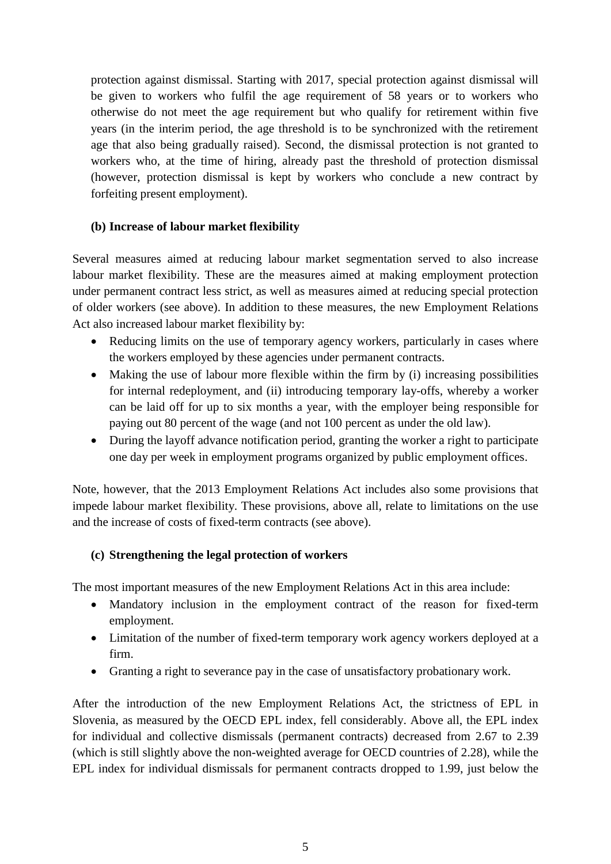protection against dismissal. Starting with 2017, special protection against dismissal will be given to workers who fulfil the age requirement of 58 years or to workers who otherwise do not meet the age requirement but who qualify for retirement within five years (in the interim period, the age threshold is to be synchronized with the retirement age that also being gradually raised). Second, the dismissal protection is not granted to workers who, at the time of hiring, already past the threshold of protection dismissal (however, protection dismissal is kept by workers who conclude a new contract by forfeiting present employment).

#### **(b) Increase of labour market flexibility**

Several measures aimed at reducing labour market segmentation served to also increase labour market flexibility. These are the measures aimed at making employment protection under permanent contract less strict, as well as measures aimed at reducing special protection of older workers (see above). In addition to these measures, the new Employment Relations Act also increased labour market flexibility by:

- Reducing limits on the use of temporary agency workers, particularly in cases where the workers employed by these agencies under permanent contracts.
- $\bullet$  Making the use of labour more flexible within the firm by (i) increasing possibilities for internal redeployment, and (ii) introducing temporary lay-offs, whereby a worker can be laid off for up to six months a year, with the employer being responsible for paying out 80 percent of the wage (and not 100 percent as under the old law).
- During the layoff advance notification period, granting the worker a right to participate one day per week in employment programs organized by public employment offices.

Note, however, that the 2013 Employment Relations Act includes also some provisions that impede labour market flexibility. These provisions, above all, relate to limitations on the use and the increase of costs of fixed-term contracts (see above).

### **(c) Strengthening the legal protection of workers**

The most important measures of the new Employment Relations Act in this area include:

- Mandatory inclusion in the employment contract of the reason for fixed-term employment.
- Limitation of the number of fixed-term temporary work agency workers deployed at a firm.
- Granting a right to severance pay in the case of unsatisfactory probationary work.

After the introduction of the new Employment Relations Act, the strictness of EPL in Slovenia, as measured by the OECD EPL index, fell considerably. Above all, the EPL index for individual and collective dismissals (permanent contracts) decreased from 2.67 to 2.39 (which is still slightly above the non-weighted average for OECD countries of 2.28), while the EPL index for individual dismissals for permanent contracts dropped to 1.99, just below the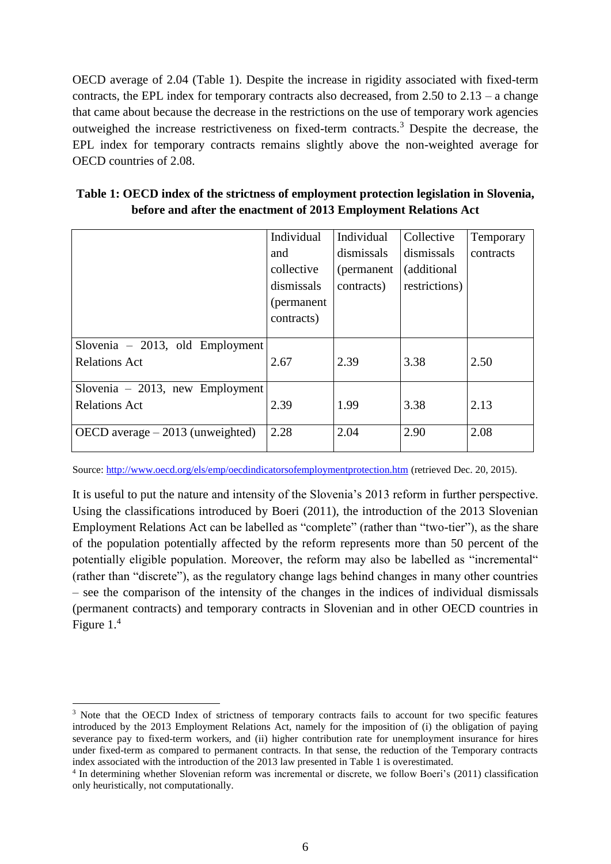OECD average of 2.04 [\(Table 1\)](#page-8-0). Despite the increase in rigidity associated with fixed-term contracts, the EPL index for temporary contracts also decreased, from  $2.50$  to  $2.13 - a$  change that came about because the decrease in the restrictions on the use of temporary work agencies outweighed the increase restrictiveness on fixed-term contracts.<sup>3</sup> Despite the decrease, the EPL index for temporary contracts remains slightly above the non-weighted average for OECD countries of 2.08.

<span id="page-8-0"></span>

| Table 1: OECD index of the strictness of employment protection legislation in Slovenia, |  |
|-----------------------------------------------------------------------------------------|--|
| before and after the enactment of 2013 Employment Relations Act                         |  |

|                                   | Individual  | Individual  | Collective    | Temporary |
|-----------------------------------|-------------|-------------|---------------|-----------|
|                                   | and         | dismissals  | dismissals    | contracts |
|                                   | collective  | (permanent) | (additional)  |           |
|                                   | dismissals  | contracts)  | restrictions) |           |
|                                   | (permanent) |             |               |           |
|                                   | contracts)  |             |               |           |
|                                   |             |             |               |           |
| Slovenia $-2013$ , old Employment |             |             |               |           |
| <b>Relations Act</b>              | 2.67        | 2.39        | 3.38          | 2.50      |
|                                   |             |             |               |           |
| Slovenia $-2013$ , new Employment |             |             |               |           |
| <b>Relations Act</b>              | 2.39        | 1.99        | 3.38          | 2.13      |
|                                   |             |             |               |           |
| OECD average $-2013$ (unweighted) | 2.28        | 2.04        | 2.90          | 2.08      |

Source[: http://www.oecd.org/els/emp/oecdindicatorsofemploymentprotection.htm](http://www.oecd.org/els/emp/oecdindicatorsofemploymentprotection.htm) (retrieved Dec. 20, 2015).

It is useful to put the nature and intensity of the Slovenia's 2013 reform in further perspective. Using the classifications introduced by Boeri (2011), the introduction of the 2013 Slovenian Employment Relations Act can be labelled as "complete" (rather than "two-tier"), as the share of the population potentially affected by the reform represents more than 50 percent of the potentially eligible population. Moreover, the reform may also be labelled as "incremental" (rather than "discrete"), as the regulatory change lags behind changes in many other countries – see the comparison of the intensity of the changes in the indices of individual dismissals (permanent contracts) and temporary contracts in Slovenian and in other OECD countries in [Figure 1.](#page-9-0)<sup>4</sup>

l

<sup>&</sup>lt;sup>3</sup> Note that the OECD Index of strictness of temporary contracts fails to account for two specific features introduced by the 2013 Employment Relations Act, namely for the imposition of (i) the obligation of paying severance pay to fixed-term workers, and (ii) higher contribution rate for unemployment insurance for hires under fixed-term as compared to permanent contracts. In that sense, the reduction of the Temporary contracts index associated with the introduction of the 2013 law presented in Table 1 is overestimated.

<sup>4</sup> In determining whether Slovenian reform was incremental or discrete, we follow Boeri's (2011) classification only heuristically, not computationally.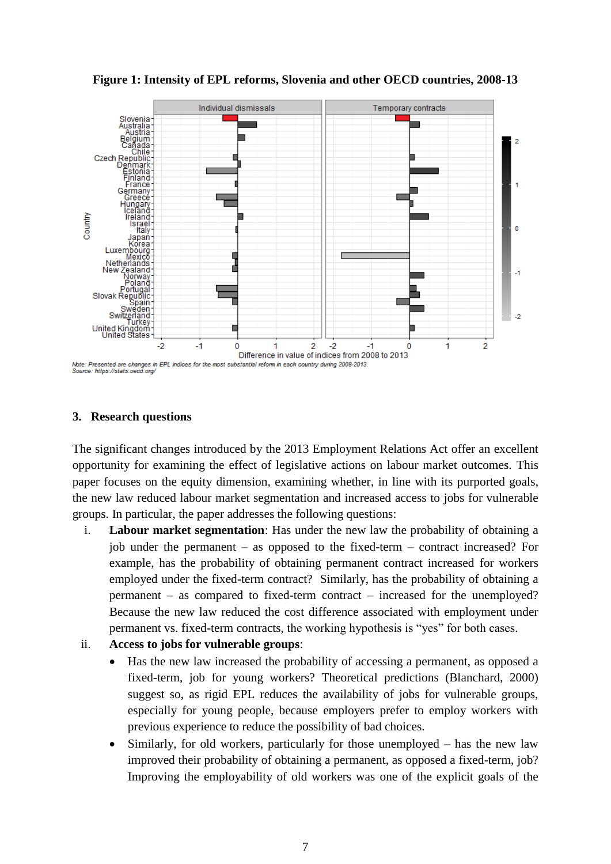<span id="page-9-0"></span>

**Figure 1: Intensity of EPL reforms, Slovenia and other OECD countries, 2008-13**

### **3. Research questions**

The significant changes introduced by the 2013 Employment Relations Act offer an excellent opportunity for examining the effect of legislative actions on labour market outcomes. This paper focuses on the equity dimension, examining whether, in line with its purported goals, the new law reduced labour market segmentation and increased access to jobs for vulnerable groups. In particular, the paper addresses the following questions:

i. **Labour market segmentation**: Has under the new law the probability of obtaining a job under the permanent – as opposed to the fixed-term – contract increased? For example, has the probability of obtaining permanent contract increased for workers employed under the fixed-term contract? Similarly, has the probability of obtaining a permanent – as compared to fixed-term contract – increased for the unemployed? Because the new law reduced the cost difference associated with employment under permanent vs. fixed-term contracts, the working hypothesis is "yes" for both cases.

### ii. **Access to jobs for vulnerable groups**:

- Has the new law increased the probability of accessing a permanent, as opposed a fixed-term, job for young workers? Theoretical predictions (Blanchard, 2000) suggest so, as rigid EPL reduces the availability of jobs for vulnerable groups, especially for young people, because employers prefer to employ workers with previous experience to reduce the possibility of bad choices.
- Similarly, for old workers, particularly for those unemployed has the new law improved their probability of obtaining a permanent, as opposed a fixed-term, job? Improving the employability of old workers was one of the explicit goals of the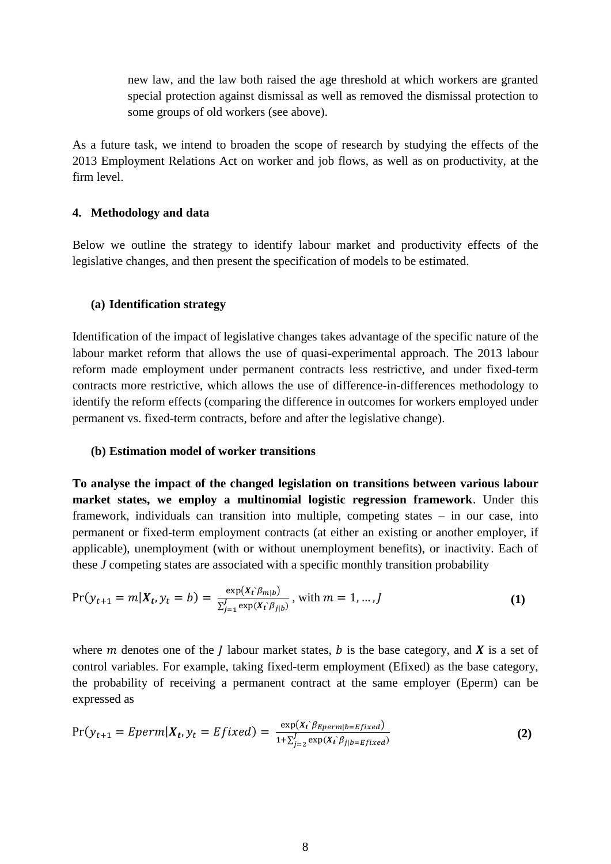new law, and the law both raised the age threshold at which workers are granted special protection against dismissal as well as removed the dismissal protection to some groups of old workers (see above).

As a future task, we intend to broaden the scope of research by studying the effects of the 2013 Employment Relations Act on worker and job flows, as well as on productivity, at the firm level.

#### **4. Methodology and data**

Below we outline the strategy to identify labour market and productivity effects of the legislative changes, and then present the specification of models to be estimated.

#### **(a) Identification strategy**

Identification of the impact of legislative changes takes advantage of the specific nature of the labour market reform that allows the use of quasi-experimental approach. The 2013 labour reform made employment under permanent contracts less restrictive, and under fixed-term contracts more restrictive, which allows the use of difference-in-differences methodology to identify the reform effects (comparing the difference in outcomes for workers employed under permanent vs. fixed-term contracts, before and after the legislative change).

#### **(b) Estimation model of worker transitions**

**To analyse the impact of the changed legislation on transitions between various labour market states, we employ a multinomial logistic regression framework**. Under this framework, individuals can transition into multiple, competing states – in our case, into permanent or fixed-term employment contracts (at either an existing or another employer, if applicable), unemployment (with or without unemployment benefits), or inactivity. Each of these *J* competing states are associated with a specific monthly transition probability

$$
Pr(y_{t+1} = m | X_t, y_t = b) = \frac{\exp(x_t \beta_{m|b})}{\sum_{j=1}^J \exp(x_t \beta_{j|b})}, \text{ with } m = 1, ..., J
$$
 (1)

where *m* denotes one of the *l* labour market states, *b* is the base category, and **X** is a set of control variables. For example, taking fixed-term employment (Efixed) as the base category, the probability of receiving a permanent contract at the same employer (Eperm) can be expressed as

$$
Pr(y_{t+1} = Eperm|X_t, y_t = Efixed) = \frac{\exp(x_t)_{Eperm|b = Efixed}}{1 + \sum_{j=2}^{J} \exp(x_t)_{j|b = Efixed})}
$$
(2)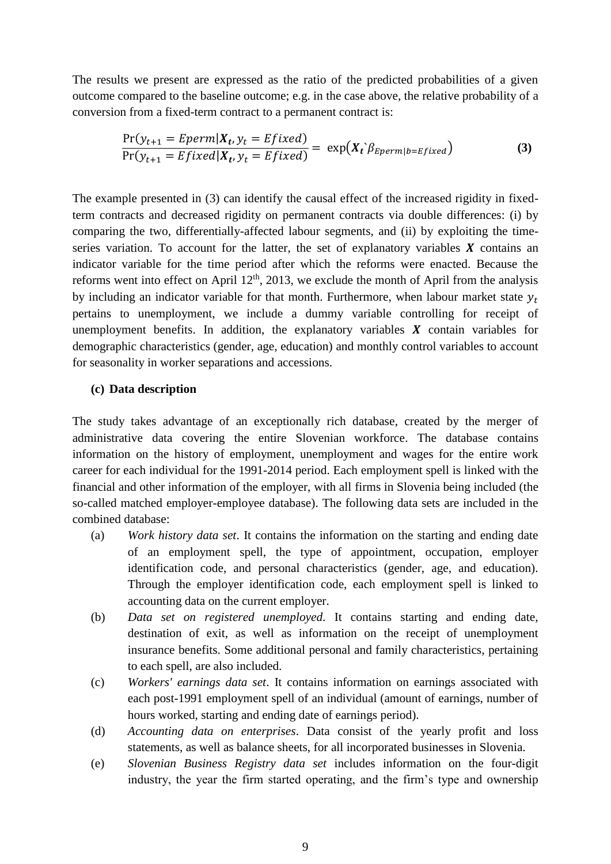The results we present are expressed as the ratio of the predicted probabilities of a given outcome compared to the baseline outcome; e.g. in the case above, the relative probability of a conversion from a fixed-term contract to a permanent contract is:

<span id="page-11-0"></span>
$$
\frac{\Pr(\mathbf{y}_{t+1} = \text{Eperm}|\mathbf{X}_t, \mathbf{y}_t = \text{Efixed})}{\Pr(\mathbf{y}_{t+1} = \text{Efixed}|\mathbf{X}_t, \mathbf{y}_t = \text{Efixed})} = \exp(\mathbf{X}_t) \cdot \beta_{\text{Eperm}}(\mathbf{b} = \text{Efixed})
$$
\n(3)

The example presented in [\(3\)](#page-11-0) can identify the causal effect of the increased rigidity in fixedterm contracts and decreased rigidity on permanent contracts via double differences: (i) by comparing the two, differentially-affected labour segments, and (ii) by exploiting the timeseries variation. To account for the latter, the set of explanatory variables  $X$  contains an indicator variable for the time period after which the reforms were enacted. Because the reforms went into effect on April  $12<sup>th</sup>$ , 2013, we exclude the month of April from the analysis by including an indicator variable for that month. Furthermore, when labour market state  $y_t$ pertains to unemployment, we include a dummy variable controlling for receipt of unemployment benefits. In addition, the explanatory variables  $X$  contain variables for demographic characteristics (gender, age, education) and monthly control variables to account for seasonality in worker separations and accessions.

#### **(c) Data description**

The study takes advantage of an exceptionally rich database, created by the merger of administrative data covering the entire Slovenian workforce. The database contains information on the history of employment, unemployment and wages for the entire work career for each individual for the 1991-2014 period. Each employment spell is linked with the financial and other information of the employer, with all firms in Slovenia being included (the so-called matched employer-employee database). The following data sets are included in the combined database:

- (a) *Work history data set*. It contains the information on the starting and ending date of an employment spell, the type of appointment, occupation, employer identification code, and personal characteristics (gender, age, and education). Through the employer identification code, each employment spell is linked to accounting data on the current employer.
- (b) *Data set on registered unemployed*. It contains starting and ending date, destination of exit, as well as information on the receipt of unemployment insurance benefits. Some additional personal and family characteristics, pertaining to each spell, are also included.
- (c) *Workers' earnings data set*. It contains information on earnings associated with each post-1991 employment spell of an individual (amount of earnings, number of hours worked, starting and ending date of earnings period).
- (d) *Accounting data on enterprises*. Data consist of the yearly profit and loss statements, as well as balance sheets, for all incorporated businesses in Slovenia.
- (e) *Slovenian Business Registry data set* includes information on the four-digit industry, the year the firm started operating, and the firm's type and ownership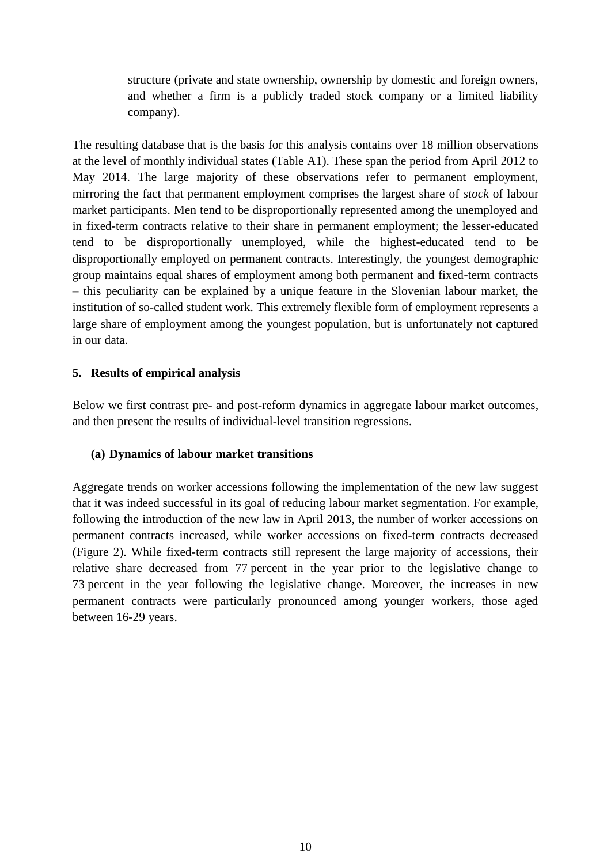structure (private and state ownership, ownership by domestic and foreign owners, and whether a firm is a publicly traded stock company or a limited liability company).

The resulting database that is the basis for this analysis contains over 18 million observations at the level of monthly individual states (Table A1). These span the period from April 2012 to May 2014. The large majority of these observations refer to permanent employment, mirroring the fact that permanent employment comprises the largest share of *stock* of labour market participants. Men tend to be disproportionally represented among the unemployed and in fixed-term contracts relative to their share in permanent employment; the lesser-educated tend to be disproportionally unemployed, while the highest-educated tend to be disproportionally employed on permanent contracts. Interestingly, the youngest demographic group maintains equal shares of employment among both permanent and fixed-term contracts – this peculiarity can be explained by a unique feature in the Slovenian labour market, the institution of so-called student work. This extremely flexible form of employment represents a large share of employment among the youngest population, but is unfortunately not captured in our data.

### **5. Results of empirical analysis**

Below we first contrast pre- and post-reform dynamics in aggregate labour market outcomes, and then present the results of individual-level transition regressions.

### **(a) Dynamics of labour market transitions**

Aggregate trends on worker accessions following the implementation of the new law suggest that it was indeed successful in its goal of reducing labour market segmentation. For example, following the introduction of the new law in April 2013, the number of worker accessions on permanent contracts increased, while worker accessions on fixed-term contracts decreased [\(Figure 2\)](#page-13-0). While fixed-term contracts still represent the large majority of accessions, their relative share decreased from 77 percent in the year prior to the legislative change to 73 percent in the year following the legislative change. Moreover, the increases in new permanent contracts were particularly pronounced among younger workers, those aged between 16-29 years.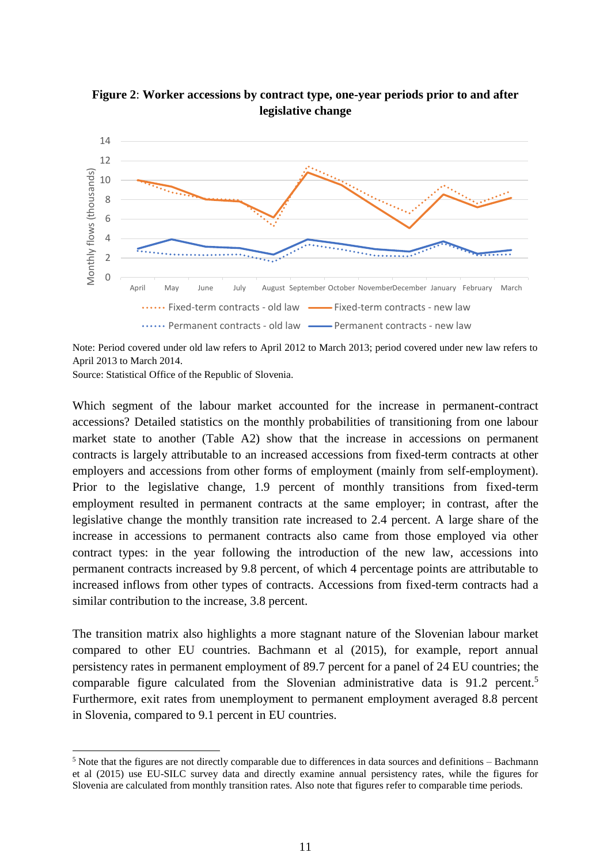

<span id="page-13-0"></span>**Figure 2**: **Worker accessions by contract type, one-year periods prior to and after legislative change**

Note: Period covered under old law refers to April 2012 to March 2013; period covered under new law refers to April 2013 to March 2014.

Source: Statistical Office of the Republic of Slovenia.

 $\overline{a}$ 

Which segment of the labour market accounted for the increase in permanent-contract accessions? Detailed statistics on the monthly probabilities of transitioning from one labour market state to another (Table A2) show that the increase in accessions on permanent contracts is largely attributable to an increased accessions from fixed-term contracts at other employers and accessions from other forms of employment (mainly from self-employment). Prior to the legislative change, 1.9 percent of monthly transitions from fixed-term employment resulted in permanent contracts at the same employer; in contrast, after the legislative change the monthly transition rate increased to 2.4 percent. A large share of the increase in accessions to permanent contracts also came from those employed via other contract types: in the year following the introduction of the new law, accessions into permanent contracts increased by 9.8 percent, of which 4 percentage points are attributable to increased inflows from other types of contracts. Accessions from fixed-term contracts had a similar contribution to the increase, 3.8 percent.

The transition matrix also highlights a more stagnant nature of the Slovenian labour market compared to other EU countries. Bachmann et al (2015), for example, report annual persistency rates in permanent employment of 89.7 percent for a panel of 24 EU countries; the comparable figure calculated from the Slovenian administrative data is  $91.2$  percent.<sup>5</sup> Furthermore, exit rates from unemployment to permanent employment averaged 8.8 percent in Slovenia, compared to 9.1 percent in EU countries.

 $<sup>5</sup>$  Note that the figures are not directly comparable due to differences in data sources and definitions – Bachmann</sup> et al (2015) use EU-SILC survey data and directly examine annual persistency rates, while the figures for Slovenia are calculated from monthly transition rates. Also note that figures refer to comparable time periods.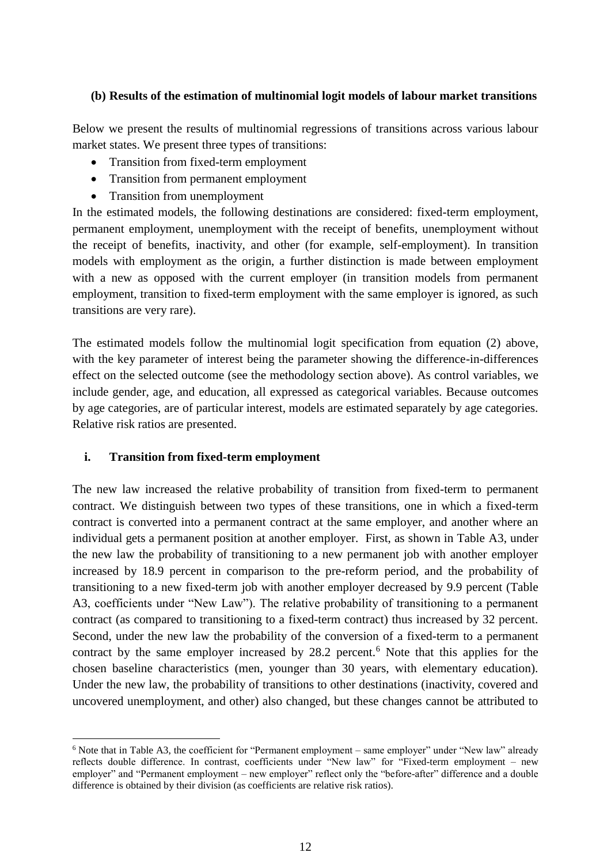#### **(b) Results of the estimation of multinomial logit models of labour market transitions**

Below we present the results of multinomial regressions of transitions across various labour market states. We present three types of transitions:

- Transition from fixed-term employment
- Transition from permanent employment
- Transition from unemployment

In the estimated models, the following destinations are considered: fixed-term employment, permanent employment, unemployment with the receipt of benefits, unemployment without the receipt of benefits, inactivity, and other (for example, self-employment). In transition models with employment as the origin, a further distinction is made between employment with a new as opposed with the current employer (in transition models from permanent employment, transition to fixed-term employment with the same employer is ignored, as such transitions are very rare).

The estimated models follow the multinomial logit specification from equation (2) above, with the key parameter of interest being the parameter showing the difference-in-differences effect on the selected outcome (see the methodology section above). As control variables, we include gender, age, and education, all expressed as categorical variables. Because outcomes by age categories, are of particular interest, models are estimated separately by age categories. Relative risk ratios are presented.

### **i. Transition from fixed-term employment**

 $\overline{\phantom{a}}$ 

The new law increased the relative probability of transition from fixed-term to permanent contract. We distinguish between two types of these transitions, one in which a fixed-term contract is converted into a permanent contract at the same employer, and another where an individual gets a permanent position at another employer. First, as shown in Table A3, under the new law the probability of transitioning to a new permanent job with another employer increased by 18.9 percent in comparison to the pre-reform period, and the probability of transitioning to a new fixed-term job with another employer decreased by 9.9 percent (Table A3, coefficients under "New Law"). The relative probability of transitioning to a permanent contract (as compared to transitioning to a fixed-term contract) thus increased by 32 percent. Second, under the new law the probability of the conversion of a fixed-term to a permanent contract by the same employer increased by  $28.2$  percent.<sup>6</sup> Note that this applies for the chosen baseline characteristics (men, younger than 30 years, with elementary education). Under the new law, the probability of transitions to other destinations (inactivity, covered and uncovered unemployment, and other) also changed, but these changes cannot be attributed to

<sup>6</sup> Note that in Table A3, the coefficient for "Permanent employment – same employer" under "New law" already reflects double difference. In contrast, coefficients under "New law" for "Fixed-term employment – new employer" and "Permanent employment – new employer" reflect only the "before-after" difference and a double difference is obtained by their division (as coefficients are relative risk ratios).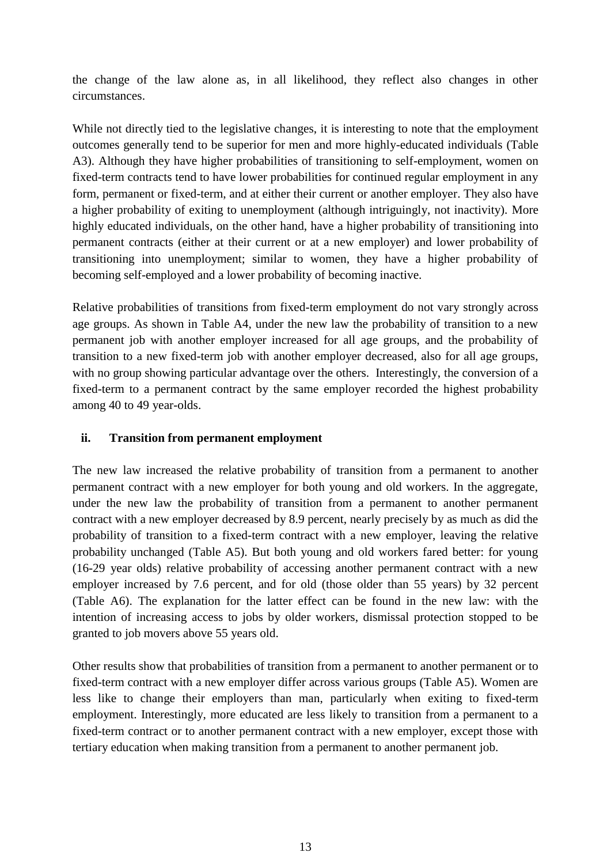the change of the law alone as, in all likelihood, they reflect also changes in other circumstances.

While not directly tied to the legislative changes, it is interesting to note that the employment outcomes generally tend to be superior for men and more highly-educated individuals (Table A3). Although they have higher probabilities of transitioning to self-employment, women on fixed-term contracts tend to have lower probabilities for continued regular employment in any form, permanent or fixed-term, and at either their current or another employer. They also have a higher probability of exiting to unemployment (although intriguingly, not inactivity). More highly educated individuals, on the other hand, have a higher probability of transitioning into permanent contracts (either at their current or at a new employer) and lower probability of transitioning into unemployment; similar to women, they have a higher probability of becoming self-employed and a lower probability of becoming inactive.

Relative probabilities of transitions from fixed-term employment do not vary strongly across age groups. As shown in Table A4, under the new law the probability of transition to a new permanent job with another employer increased for all age groups, and the probability of transition to a new fixed-term job with another employer decreased, also for all age groups, with no group showing particular advantage over the others. Interestingly, the conversion of a fixed-term to a permanent contract by the same employer recorded the highest probability among 40 to 49 year-olds.

### **ii. Transition from permanent employment**

The new law increased the relative probability of transition from a permanent to another permanent contract with a new employer for both young and old workers. In the aggregate, under the new law the probability of transition from a permanent to another permanent contract with a new employer decreased by 8.9 percent, nearly precisely by as much as did the probability of transition to a fixed-term contract with a new employer, leaving the relative probability unchanged (Table A5). But both young and old workers fared better: for young (16-29 year olds) relative probability of accessing another permanent contract with a new employer increased by 7.6 percent, and for old (those older than 55 years) by 32 percent (Table A6). The explanation for the latter effect can be found in the new law: with the intention of increasing access to jobs by older workers, dismissal protection stopped to be granted to job movers above 55 years old.

Other results show that probabilities of transition from a permanent to another permanent or to fixed-term contract with a new employer differ across various groups (Table A5). Women are less like to change their employers than man, particularly when exiting to fixed-term employment. Interestingly, more educated are less likely to transition from a permanent to a fixed-term contract or to another permanent contract with a new employer, except those with tertiary education when making transition from a permanent to another permanent job.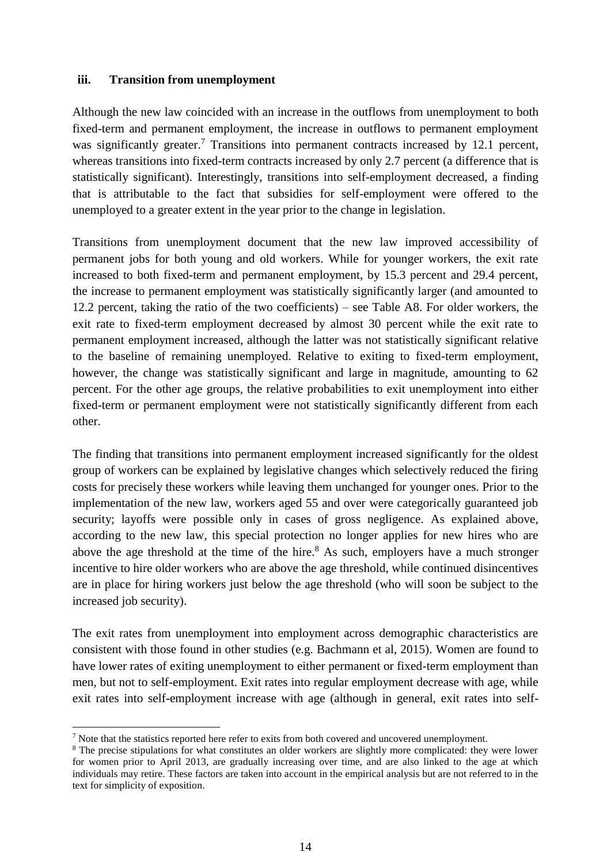#### **iii. Transition from unemployment**

Although the new law coincided with an increase in the outflows from unemployment to both fixed-term and permanent employment, the increase in outflows to permanent employment was significantly greater.<sup>7</sup> Transitions into permanent contracts increased by 12.1 percent, whereas transitions into fixed-term contracts increased by only 2.7 percent (a difference that is statistically significant). Interestingly, transitions into self-employment decreased, a finding that is attributable to the fact that subsidies for self-employment were offered to the unemployed to a greater extent in the year prior to the change in legislation.

Transitions from unemployment document that the new law improved accessibility of permanent jobs for both young and old workers. While for younger workers, the exit rate increased to both fixed-term and permanent employment, by 15.3 percent and 29.4 percent, the increase to permanent employment was statistically significantly larger (and amounted to 12.2 percent, taking the ratio of the two coefficients) – see Table A8. For older workers, the exit rate to fixed-term employment decreased by almost 30 percent while the exit rate to permanent employment increased, although the latter was not statistically significant relative to the baseline of remaining unemployed. Relative to exiting to fixed-term employment, however, the change was statistically significant and large in magnitude, amounting to 62 percent. For the other age groups, the relative probabilities to exit unemployment into either fixed-term or permanent employment were not statistically significantly different from each other.

The finding that transitions into permanent employment increased significantly for the oldest group of workers can be explained by legislative changes which selectively reduced the firing costs for precisely these workers while leaving them unchanged for younger ones. Prior to the implementation of the new law, workers aged 55 and over were categorically guaranteed job security; layoffs were possible only in cases of gross negligence. As explained above, according to the new law, this special protection no longer applies for new hires who are above the age threshold at the time of the hire.<sup>8</sup> As such, employers have a much stronger incentive to hire older workers who are above the age threshold, while continued disincentives are in place for hiring workers just below the age threshold (who will soon be subject to the increased job security).

The exit rates from unemployment into employment across demographic characteristics are consistent with those found in other studies (e.g. Bachmann et al, 2015). Women are found to have lower rates of exiting unemployment to either permanent or fixed-term employment than men, but not to self-employment. Exit rates into regular employment decrease with age, while exit rates into self-employment increase with age (although in general, exit rates into self-

 $\overline{\phantom{a}}$ 

 $<sup>7</sup>$  Note that the statistics reported here refer to exits from both covered and uncovered unemployment.</sup>

<sup>&</sup>lt;sup>8</sup> The precise stipulations for what constitutes an older workers are slightly more complicated: they were lower for women prior to April 2013, are gradually increasing over time, and are also linked to the age at which individuals may retire. These factors are taken into account in the empirical analysis but are not referred to in the text for simplicity of exposition.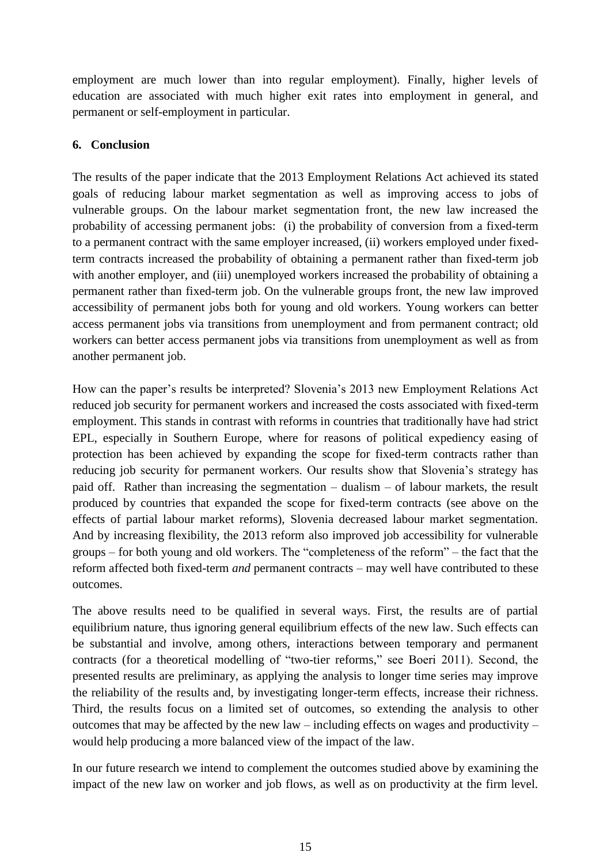employment are much lower than into regular employment). Finally, higher levels of education are associated with much higher exit rates into employment in general, and permanent or self-employment in particular.

### **6. Conclusion**

The results of the paper indicate that the 2013 Employment Relations Act achieved its stated goals of reducing labour market segmentation as well as improving access to jobs of vulnerable groups. On the labour market segmentation front, the new law increased the probability of accessing permanent jobs: (i) the probability of conversion from a fixed-term to a permanent contract with the same employer increased, (ii) workers employed under fixedterm contracts increased the probability of obtaining a permanent rather than fixed-term job with another employer, and (iii) unemployed workers increased the probability of obtaining a permanent rather than fixed-term job. On the vulnerable groups front, the new law improved accessibility of permanent jobs both for young and old workers. Young workers can better access permanent jobs via transitions from unemployment and from permanent contract; old workers can better access permanent jobs via transitions from unemployment as well as from another permanent job.

How can the paper's results be interpreted? Slovenia's 2013 new Employment Relations Act reduced job security for permanent workers and increased the costs associated with fixed-term employment. This stands in contrast with reforms in countries that traditionally have had strict EPL, especially in Southern Europe, where for reasons of political expediency easing of protection has been achieved by expanding the scope for fixed-term contracts rather than reducing job security for permanent workers. Our results show that Slovenia's strategy has paid off. Rather than increasing the segmentation – dualism – of labour markets, the result produced by countries that expanded the scope for fixed-term contracts (see above on the effects of partial labour market reforms), Slovenia decreased labour market segmentation. And by increasing flexibility, the 2013 reform also improved job accessibility for vulnerable groups – for both young and old workers. The "completeness of the reform" – the fact that the reform affected both fixed-term *and* permanent contracts – may well have contributed to these outcomes.

The above results need to be qualified in several ways. First, the results are of partial equilibrium nature, thus ignoring general equilibrium effects of the new law. Such effects can be substantial and involve, among others, interactions between temporary and permanent contracts (for a theoretical modelling of "two-tier reforms," see Boeri 2011). Second, the presented results are preliminary, as applying the analysis to longer time series may improve the reliability of the results and, by investigating longer-term effects, increase their richness. Third, the results focus on a limited set of outcomes, so extending the analysis to other outcomes that may be affected by the new law – including effects on wages and productivity – would help producing a more balanced view of the impact of the law.

In our future research we intend to complement the outcomes studied above by examining the impact of the new law on worker and job flows, as well as on productivity at the firm level.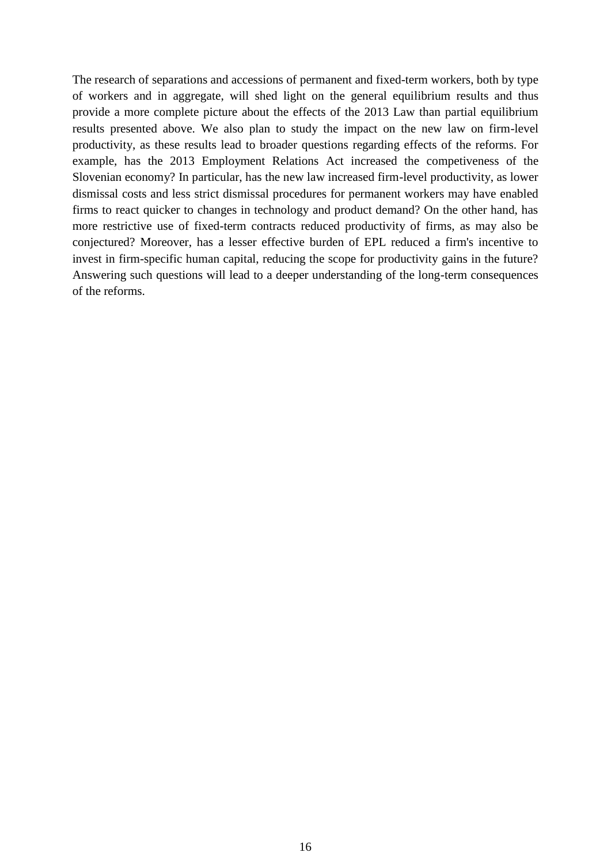The research of separations and accessions of permanent and fixed-term workers, both by type of workers and in aggregate, will shed light on the general equilibrium results and thus provide a more complete picture about the effects of the 2013 Law than partial equilibrium results presented above. We also plan to study the impact on the new law on firm-level productivity, as these results lead to broader questions regarding effects of the reforms. For example, has the 2013 Employment Relations Act increased the competiveness of the Slovenian economy? In particular, has the new law increased firm-level productivity, as lower dismissal costs and less strict dismissal procedures for permanent workers may have enabled firms to react quicker to changes in technology and product demand? On the other hand, has more restrictive use of fixed-term contracts reduced productivity of firms, as may also be conjectured? Moreover, has a lesser effective burden of EPL reduced a firm's incentive to invest in firm-specific human capital, reducing the scope for productivity gains in the future? Answering such questions will lead to a deeper understanding of the long-term consequences of the reforms.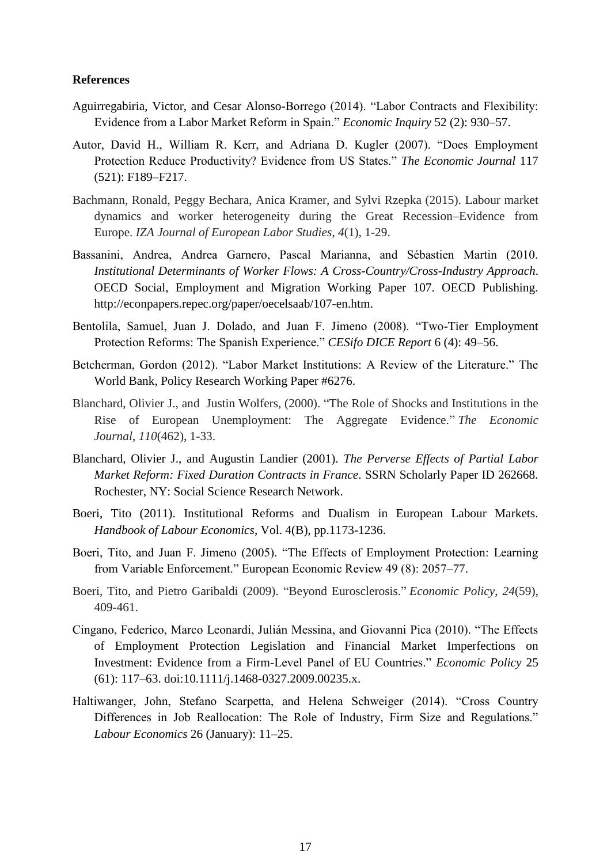#### **References**

- Aguirregabiria, Victor, and Cesar Alonso-Borrego (2014). "Labor Contracts and Flexibility: Evidence from a Labor Market Reform in Spain." *Economic Inquiry* 52 (2): 930–57.
- Autor, David H., William R. Kerr, and Adriana D. Kugler (2007). "Does Employment Protection Reduce Productivity? Evidence from US States." *The Economic Journal* 117 (521): F189–F217.
- Bachmann, Ronald, Peggy Bechara, Anica Kramer, and Sylvi Rzepka (2015). Labour market dynamics and worker heterogeneity during the Great Recession–Evidence from Europe. *IZA Journal of European Labor Studies*, *4*(1), 1-29.
- Bassanini, Andrea, Andrea Garnero, Pascal Marianna, and Sébastien Martin (2010. *Institutional Determinants of Worker Flows: A Cross-Country/Cross-Industry Approach*. OECD Social, Employment and Migration Working Paper 107. OECD Publishing. http://econpapers.repec.org/paper/oecelsaab/107-en.htm.
- Bentolila, Samuel, Juan J. Dolado, and Juan F. Jimeno (2008). "Two-Tier Employment Protection Reforms: The Spanish Experience." *CESifo DICE Report* 6 (4): 49–56.
- Betcherman, Gordon (2012). "Labor Market Institutions: A Review of the Literature." The World Bank, Policy Research Working Paper #6276.
- Blanchard, Olivier J., and Justin Wolfers, (2000). "The Role of Shocks and Institutions in the Rise of European Unemployment: The Aggregate Evidence." *The Economic Journal*, *110*(462), 1-33.
- Blanchard, Olivier J., and Augustin Landier (2001). *The Perverse Effects of Partial Labor Market Reform: Fixed Duration Contracts in France*. SSRN Scholarly Paper ID 262668. Rochester, NY: Social Science Research Network.
- Boeri, Tito (2011). Institutional Reforms and Dualism in European Labour Markets. *Handbook of Labour Economics*, Vol. 4(B), pp.1173-1236.
- Boeri, Tito, and Juan F. Jimeno (2005). "The Effects of Employment Protection: Learning from Variable Enforcement." European Economic Review 49 (8): 2057–77.
- Boeri, Tito, and Pietro Garibaldi (2009). "Beyond Eurosclerosis." *Economic Policy*, *24*(59), 409-461.
- Cingano, Federico, Marco Leonardi, Julián Messina, and Giovanni Pica (2010). "The Effects of Employment Protection Legislation and Financial Market Imperfections on Investment: Evidence from a Firm-Level Panel of EU Countries." *Economic Policy* 25 (61): 117–63. doi:10.1111/j.1468-0327.2009.00235.x.
- Haltiwanger, John, Stefano Scarpetta, and Helena Schweiger (2014). "Cross Country Differences in Job Reallocation: The Role of Industry, Firm Size and Regulations." *Labour Economics* 26 (January): 11–25.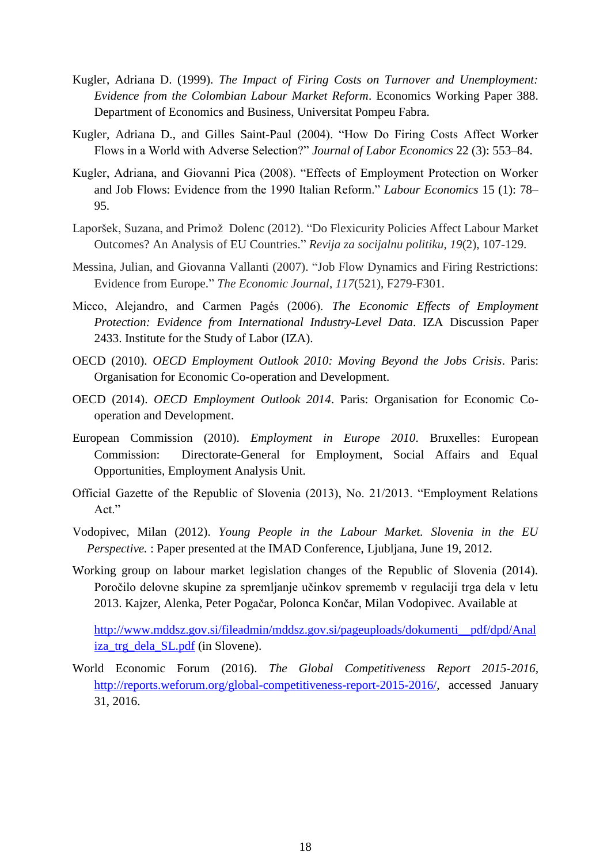- Kugler, Adriana D. (1999). *The Impact of Firing Costs on Turnover and Unemployment: Evidence from the Colombian Labour Market Reform*. Economics Working Paper 388. Department of Economics and Business, Universitat Pompeu Fabra.
- Kugler, Adriana D., and Gilles Saint-Paul (2004). "How Do Firing Costs Affect Worker Flows in a World with Adverse Selection?" *Journal of Labor Economics* 22 (3): 553–84.
- Kugler, Adriana, and Giovanni Pica (2008). "Effects of Employment Protection on Worker and Job Flows: Evidence from the 1990 Italian Reform." *Labour Economics* 15 (1): 78– 95.
- Laporšek, Suzana, and Primož Dolenc (2012). "Do Flexicurity Policies Affect Labour Market Outcomes? An Analysis of EU Countries." *Revija za socijalnu politiku*, *19*(2), 107-129.
- Messina, Julian, and Giovanna Vallanti (2007). "Job Flow Dynamics and Firing Restrictions: Evidence from Europe." *The Economic Journal*, *117*(521), F279-F301.
- Micco, Alejandro, and Carmen Pagés (2006). *The Economic Effects of Employment Protection: Evidence from International Industry-Level Data*. IZA Discussion Paper 2433. Institute for the Study of Labor (IZA).
- OECD (2010). *OECD Employment Outlook 2010: Moving Beyond the Jobs Crisis*. Paris: Organisation for Economic Co-operation and Development.
- OECD (2014). *OECD Employment Outlook 2014*. Paris: Organisation for Economic Cooperation and Development.
- European Commission (2010). *Employment in Europe 2010*. Bruxelles: European Commission: Directorate-General for Employment, Social Affairs and Equal Opportunities, Employment Analysis Unit.
- Official Gazette of the Republic of Slovenia (2013), No. 21/2013. "Employment Relations Act."
- Vodopivec, Milan (2012). *Young People in the Labour Market. Slovenia in the EU Perspective.* : Paper presented at the IMAD Conference, Ljubljana, June 19, 2012.
- Working group on labour market legislation changes of the Republic of Slovenia (2014). Poročilo delovne skupine za spremljanje učinkov sprememb v regulaciji trga dela v letu 2013. Kajzer, Alenka, Peter Pogačar, Polonca Končar, Milan Vodopivec. Available at

[http://www.mddsz.gov.si/fileadmin/mddsz.gov.si/pageuploads/dokumenti\\_\\_pdf/dpd/Anal](http://www.mddsz.gov.si/fileadmin/mddsz.gov.si/pageuploads/dokumenti__pdf/dpd/Analiza_trg_dela_SL.pdf) [iza\\_trg\\_dela\\_SL.pdf](http://www.mddsz.gov.si/fileadmin/mddsz.gov.si/pageuploads/dokumenti__pdf/dpd/Analiza_trg_dela_SL.pdf) (in Slovene).

World Economic Forum (2016). *The Global Competitiveness Report 2015-2016,* [http://reports.weforum.org/global-competitiveness-report-2015-2016/,](http://reports.weforum.org/global-competitiveness-report-2015-2016/) accessed January 31, 2016.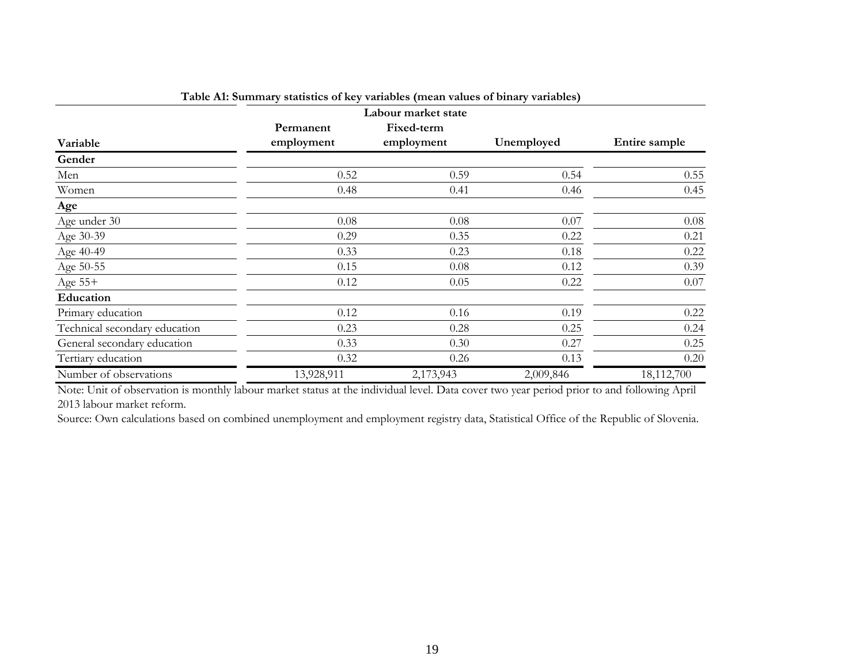|                               |            | Labour market state |            |               |
|-------------------------------|------------|---------------------|------------|---------------|
|                               | Permanent  | Fixed-term          |            |               |
| Variable                      | employment | employment          | Unemployed | Entire sample |
| Gender                        |            |                     |            |               |
| Men                           | 0.52       | 0.59                | 0.54       | 0.55          |
| Women                         | 0.48       | 0.41                | 0.46       | 0.45          |
| Age                           |            |                     |            |               |
| Age under 30                  | 0.08       | 0.08                | 0.07       | $0.08\,$      |
| Age 30-39                     | 0.29       | 0.35                | 0.22       | 0.21          |
| Age 40-49                     | 0.33       | 0.23                | 0.18       | 0.22          |
| Age 50-55                     | 0.15       | 0.08                | 0.12       | 0.39          |
| Age 55+                       | 0.12       | 0.05                | 0.22       | $0.07\,$      |
| Education                     |            |                     |            |               |
| Primary education             | 0.12       | 0.16                | 0.19       | 0.22          |
| Technical secondary education | 0.23       | 0.28                | 0.25       | 0.24          |
| General secondary education   | 0.33       | 0.30                | 0.27       | 0.25          |
| Tertiary education            | 0.32       | 0.26                | 0.13       | 0.20          |
| Number of observations        | 13,928,911 | 2,173,943           | 2,009,846  | 18,112,700    |

| Table A1: Summary statistics of key variables (mean values of binary variables) |  |  |  |  |  |
|---------------------------------------------------------------------------------|--|--|--|--|--|
|---------------------------------------------------------------------------------|--|--|--|--|--|

Note: Unit of observation is monthly labour market status at the individual level. Data cover two year period prior to and following April 2013 labour market reform.

Source: Own calculations based on combined unemployment and employment registry data, Statistical Office of the Republic of Slovenia.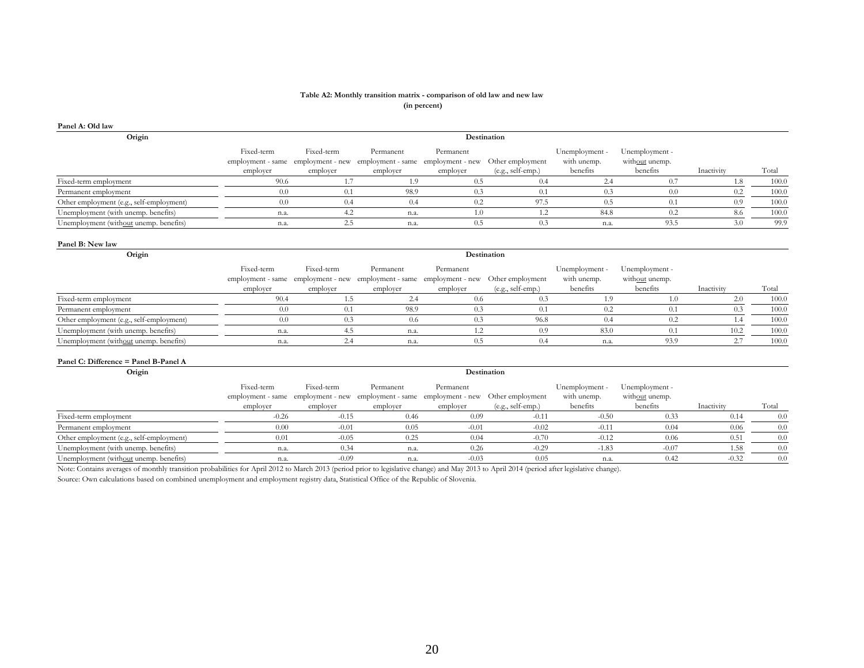#### **Table A2: Monthly transition matrix - comparison of old law and new law (in percent)**

| Panel A: Old law                         |                                                                                                                  |                        |                                                                                                |                       |                                       |                                           |                                              |            |       |
|------------------------------------------|------------------------------------------------------------------------------------------------------------------|------------------------|------------------------------------------------------------------------------------------------|-----------------------|---------------------------------------|-------------------------------------------|----------------------------------------------|------------|-------|
| Origin                                   |                                                                                                                  |                        |                                                                                                |                       | Destination                           |                                           |                                              |            |       |
|                                          | Fixed-term<br>employment - same employment - new employment - same employment - new<br>employer                  | Fixed-term<br>employer | Permanent<br>employer                                                                          | Permanent<br>employer | Other employment<br>(e.g., self-emp.) | Unemployment -<br>with unemp.<br>benefits | Unemployment -<br>without unemp.<br>benefits | Inactivity | Total |
| Fixed-term employment                    | 90.6                                                                                                             | 1.7                    | 1.9                                                                                            | 0.5                   | 0.4                                   | 2.4                                       | 0.7                                          | 1.8        | 100.0 |
| Permanent employment                     | 0.0                                                                                                              | 0.1                    | 98.9                                                                                           | 0.3                   | 0.1                                   | 0.3                                       | 0.0                                          | 0.2        | 100.0 |
| Other employment (e.g., self-employment) | 0.0                                                                                                              | 0.4                    | 0.4                                                                                            | 0.2                   | 97.5                                  | 0.5                                       | 0.1                                          | 0.9        | 100.0 |
| Unemployment (with unemp. benefits)      | n.a.                                                                                                             | 4.2                    | n.a.                                                                                           | 1.0                   | 1.2                                   | 84.8                                      | 0.2                                          | 8.6        | 100.0 |
| Unemployment (without unemp. benefits)   | n.a.                                                                                                             | 2.5                    | n.a.                                                                                           | 0.5                   | 0.3                                   | n.a.                                      | 93.5                                         | 3.0        | 99.9  |
| Panel B: New law                         |                                                                                                                  |                        |                                                                                                |                       |                                       |                                           |                                              |            |       |
| Origin                                   |                                                                                                                  |                        |                                                                                                |                       | Destination                           |                                           |                                              |            |       |
|                                          | Fixed-term<br>employer                                                                                           | Fixed-term<br>employer | Permanent<br>employment - same employment - new employment - same employment - new<br>employer | Permanent<br>employer | Other employment<br>(e.g., self-emp.) | Unemployment -<br>with unemp.<br>benefits | Unemployment -<br>without unemp.<br>benefits | Inactivity | Total |
| Fixed-term employment                    | 90.4                                                                                                             | 1.5                    | 2.4                                                                                            | 0.6                   | 0.3                                   | 1.9                                       | 1.0                                          | 2.0        | 100.0 |
| Permanent employment                     | 0.0                                                                                                              | 0.1                    | 98.9                                                                                           | 0.3                   | 0.1                                   | 0.2                                       | 0.1                                          | 0.3        | 100.0 |
| Other employment (e.g., self-employment) | 0.0                                                                                                              | 0.3                    | 0.6                                                                                            | 0.3                   | 96.8                                  | 0.4                                       | 0.2                                          | 1.4        | 100.0 |
| Unemployment (with unemp. benefits)      | n.a.                                                                                                             | 4.5                    | n.a.                                                                                           | 1.2                   | 0.9                                   | 83.0                                      | 0.1                                          | 10.2       | 100.0 |
| Unemployment (without unemp. benefits)   | n.a.                                                                                                             | 2.4                    | n.a.                                                                                           | 0.5                   | 0.4                                   | n.a.                                      | 93.9                                         | 2.7        | 100.0 |
| Panel C: Difference = Panel B-Panel A    |                                                                                                                  |                        |                                                                                                |                       |                                       |                                           |                                              |            |       |
| Origin                                   |                                                                                                                  |                        |                                                                                                |                       | Destination                           |                                           |                                              |            |       |
|                                          | Fixed-term<br>employment - same employment - new employment - same employment - new Other employment<br>employer | Fixed-term<br>employer | Permanent<br>employer                                                                          | Permanent<br>employer | (e.g., self-emp.)                     | Unemployment -<br>with unemp.<br>benefits | Unemployment -<br>without unemp.<br>benefits | Inactivity | Total |
| Fixed-term employment                    | $-0.26$                                                                                                          | $-0.15$                | 0.46                                                                                           | 0.09                  | $-0.11$                               | $-0.50$                                   | 0.33                                         | 0.14       | 0.0   |
| Permanent employment                     | 0.00                                                                                                             | $-0.01$                | 0.05                                                                                           | $-0.01$               | $-0.02$                               | $-0.11$                                   | 0.04                                         | 0.06       | 0.0   |
| Other employment (e.g., self-employment) | 0.01                                                                                                             | $-0.05$                | 0.25                                                                                           | 0.04                  | $-0.70$                               | $-0.12$                                   | 0.06                                         | 0.51       | 0.0   |
| Unemployment (with unemp. benefits)      | n.a.                                                                                                             | 0.34                   | n.a.                                                                                           | 0.26                  | $-0.29$                               | $-1.83$                                   | $-0.07$                                      | 1.58       | 0.0   |
| Unemployment (without unemp. benefits)   | n.a.                                                                                                             | $-0.09$                | n.a.                                                                                           | $-0.03$               | 0.05                                  | n.a.                                      | 0.42                                         | $-0.32$    | 0.0   |

Source: Own calculations based on combined unemployment and employment registry data, Statistical Office of the Republic of Slovenia.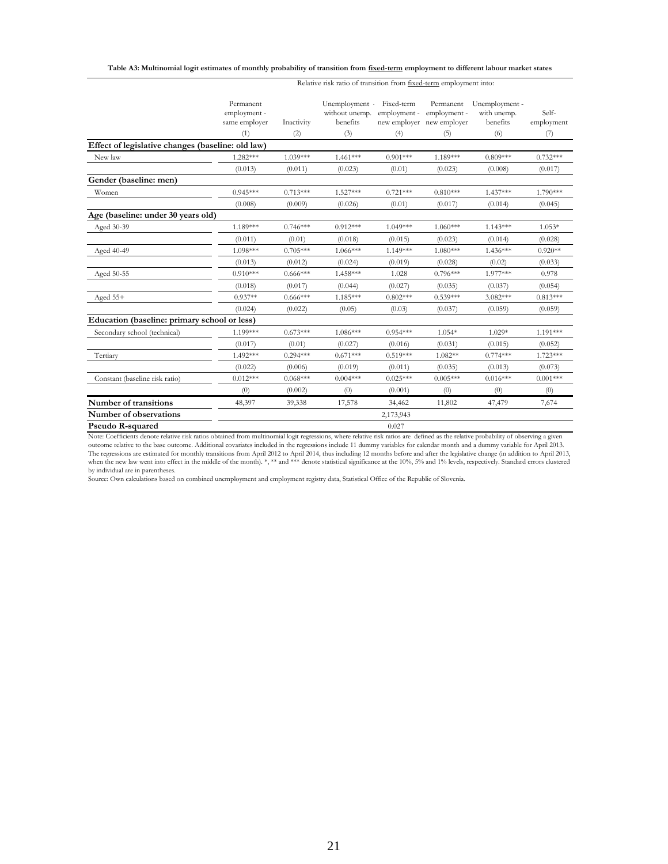#### **Table A3: Multinomial logit estimates of monthly probability of transition from fixed-term employment to different labour market states**

|                                                   | Permanent<br>employment -<br>same employer<br>(1) | Inactivity<br>(2) | Unemployment · Fixed-term<br>without unemp.<br>benefits<br>(3) | employment -<br>(4) | Permanent<br>employment -<br>new employer new employer<br>(5) | Unemployment -<br>with unemp.<br>benefits<br>(6) | Self-<br>employment<br>(7) |
|---------------------------------------------------|---------------------------------------------------|-------------------|----------------------------------------------------------------|---------------------|---------------------------------------------------------------|--------------------------------------------------|----------------------------|
| Effect of legislative changes (baseline: old law) |                                                   |                   |                                                                |                     |                                                               |                                                  |                            |
| New law                                           | 1.282***                                          | $1.039***$        | $1.461***$                                                     | $0.901***$          | 1.189***                                                      | $0.809***$                                       | $0.732***$                 |
|                                                   | (0.013)                                           | (0.011)           | (0.023)                                                        | (0.01)              | (0.023)                                                       | (0.008)                                          | (0.017)                    |
| Gender (baseline: men)                            |                                                   |                   |                                                                |                     |                                                               |                                                  |                            |
| Women                                             | $0.945***$                                        | $0.713***$        | $1.527***$                                                     | $0.721***$          | $0.810***$                                                    | $1.437***$                                       | 1.790***                   |
|                                                   | (0.008)                                           | (0.009)           | (0.026)                                                        | (0.01)              | (0.017)                                                       | (0.014)                                          | (0.045)                    |
| Age (baseline: under 30 years old)                |                                                   |                   |                                                                |                     |                                                               |                                                  |                            |
| Aged 30-39                                        | 1.189***                                          | $0.746***$        | $0.912***$                                                     | $1.049***$          | $1.060***$                                                    | $1.143***$                                       | $1.053*$                   |
|                                                   | (0.011)                                           | (0.01)            | (0.018)                                                        | (0.015)             | (0.023)                                                       | (0.014)                                          | (0.028)                    |
| Aged 40-49                                        | 1.098***                                          | $0.705***$        | $1.066***$                                                     | 1.149***            | $1.080***$                                                    | $1.436***$                                       | $0.920**$                  |
|                                                   | (0.013)                                           | (0.012)           | (0.024)                                                        | (0.019)             | (0.028)                                                       | (0.02)                                           | (0.033)                    |
| Aged 50-55                                        | $0.910***$                                        | $0.666***$        | 1.458***                                                       | 1.028               | $0.796***$                                                    | 1.977***                                         | 0.978                      |
|                                                   | (0.018)                                           | (0.017)           | (0.044)                                                        | (0.027)             | (0.035)                                                       | (0.037)                                          | (0.054)                    |
| Aged $55+$                                        | $0.937**$                                         | $0.666***$        | $1.185***$                                                     | $0.802***$          | $0.539***$                                                    | $3.082***$                                       | $0.813***$                 |
|                                                   | (0.024)                                           | (0.022)           | (0.05)                                                         | (0.03)              | (0.037)                                                       | (0.059)                                          | (0.059)                    |
| Education (baseline: primary school or less)      |                                                   |                   |                                                                |                     |                                                               |                                                  |                            |
| Secondary school (technical)                      | 1.199***                                          | $0.673***$        | $1.086***$                                                     | $0.954***$          | $1.054*$                                                      | 1.029*                                           | $1.191***$                 |
|                                                   | (0.017)                                           | (0.01)            | (0.027)                                                        | (0.016)             | (0.031)                                                       | (0.015)                                          | (0.052)                    |
| Tertiary                                          | 1.492***                                          | $0.294***$        | $0.671***$                                                     | $0.519***$          | $1.082**$                                                     | $0.774***$                                       | $1.723***$                 |
|                                                   | (0.022)                                           | (0.006)           | (0.019)                                                        | (0.011)             | (0.035)                                                       | (0.013)                                          | (0.073)                    |
| Constant (baseline risk ratio)                    | $0.012***$                                        | $0.068***$        | $0.004***$                                                     | $0.025***$          | $0.005***$                                                    | $0.016***$                                       | $0.001***$                 |
|                                                   | (0)                                               | (0.002)           | (0)                                                            | (0.001)             | (0)                                                           | (0)                                              | (0)                        |
| Number of transitions                             | 48,397                                            | 39,338            | 17,578                                                         | 34,462              | 11,802                                                        | 47,479                                           | 7,674                      |
| Number of observations                            |                                                   |                   |                                                                | 2,173,943           |                                                               |                                                  |                            |
| Pseudo R-squared                                  |                                                   |                   |                                                                | 0.027               |                                                               |                                                  |                            |

Relative risk ratio of transition from fixed-term employment into:

Note: Coefficients denote relative risk ratios obtained from multinomial logit regressions, where relative risk ratios are defined as the relative probability of observing a given<br>outcome relative to the base outcome. Addi

by individual are in parentheses. Source: Own calculations based on combined unemployment and employment registry data, Statistical Office of the Republic of Slovenia.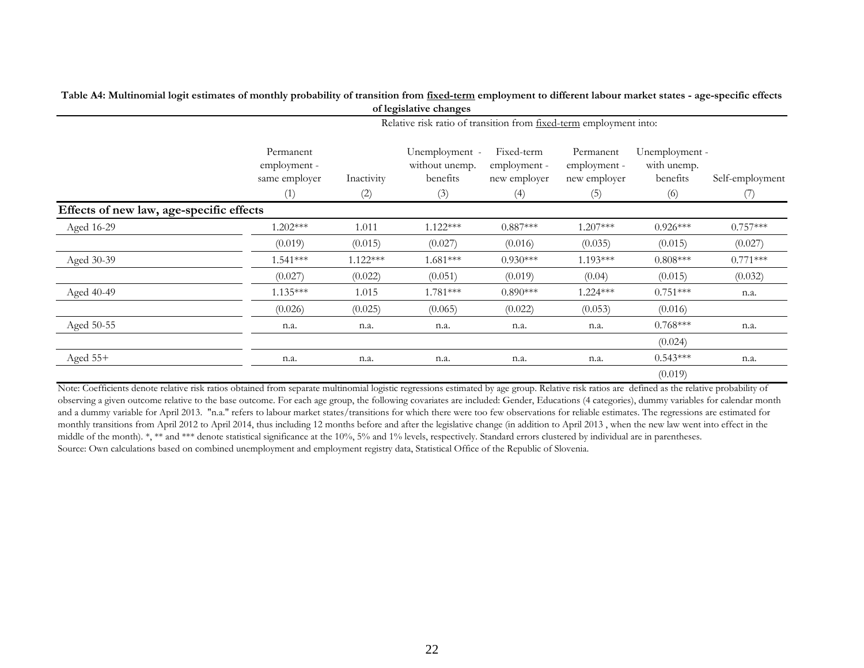|                                          |                                                   |                                                                    | of legislative changes                              |                                                   |                                                  |                                                  |                        |  |  |
|------------------------------------------|---------------------------------------------------|--------------------------------------------------------------------|-----------------------------------------------------|---------------------------------------------------|--------------------------------------------------|--------------------------------------------------|------------------------|--|--|
|                                          |                                                   | Relative risk ratio of transition from fixed-term employment into: |                                                     |                                                   |                                                  |                                                  |                        |  |  |
|                                          | Permanent<br>employment -<br>same employer<br>(1) | Inactivity<br>(2)                                                  | Unemployment -<br>without unemp.<br>benefits<br>(3) | Fixed-term<br>employment -<br>new employer<br>(4) | Permanent<br>employment -<br>new employer<br>(5) | Unemployment -<br>with unemp.<br>benefits<br>(6) | Self-employment<br>(7) |  |  |
| Effects of new law, age-specific effects |                                                   |                                                                    |                                                     |                                                   |                                                  |                                                  |                        |  |  |
| Aged 16-29                               | $1.202***$                                        | 1.011                                                              | $1.122***$                                          | $0.887***$                                        | 1.207***                                         | $0.926***$                                       | $0.757***$             |  |  |
|                                          | (0.019)                                           | (0.015)                                                            | (0.027)                                             | (0.016)                                           | (0.035)                                          | (0.015)                                          | (0.027)                |  |  |
| Aged 30-39                               | $1.541***$                                        | $1.122***$                                                         | $1.681***$                                          | $0.930***$                                        | 1.193***                                         | $0.808***$                                       | $0.771***$             |  |  |
|                                          | (0.027)                                           | (0.022)                                                            | (0.051)                                             | (0.019)                                           | (0.04)                                           | (0.015)                                          | (0.032)                |  |  |
| Aged 40-49                               | $1.135***$                                        | 1.015                                                              | $1.781***$                                          | $0.890***$                                        | 1.224 ***                                        | $0.751***$                                       | n.a.                   |  |  |
|                                          | (0.026)                                           | (0.025)                                                            | (0.065)                                             | (0.022)                                           | (0.053)                                          | (0.016)                                          |                        |  |  |
| Aged 50-55                               | n.a.                                              | n.a.                                                               | n.a.                                                | n.a.                                              | n.a.                                             | $0.768***$                                       | n.a.                   |  |  |
|                                          |                                                   |                                                                    |                                                     |                                                   |                                                  | (0.024)                                          |                        |  |  |
| Aged $55+$                               | n.a.                                              | n.a.                                                               | n.a.                                                | n.a.                                              | n.a.                                             | $0.543***$                                       | n.a.                   |  |  |
|                                          |                                                   |                                                                    |                                                     |                                                   |                                                  | (0.019)                                          |                        |  |  |

**Table A4: Multinomial logit estimates of monthly probability of transition from fixed-term employment to different labour market states - age-specific effects of legislative changes**

Note: Coefficients denote relative risk ratios obtained from separate multinomial logistic regressions estimated by age group. Relative risk ratios are defined as the relative probability of observing a given outcome relative to the base outcome. For each age group, the following covariates are included: Gender, Educations (4 categories), dummy variables for calendar month and a dummy variable for April 2013. "n.a." refers to labour market states/transitions for which there were too few observations for reliable estimates. The regressions are estimated for monthly transitions from April 2012 to April 2014, thus including 12 months before and after the legislative change (in addition to April 2013 , when the new law went into effect in the middle of the month). \*, \*\* and \*\*\* denote statistical significance at the 10%, 5% and 1% levels, respectively. Standard errors clustered by individual are in parentheses. Source: Own calculations based on combined unemployment and employment registry data, Statistical Office of the Republic of Slovenia.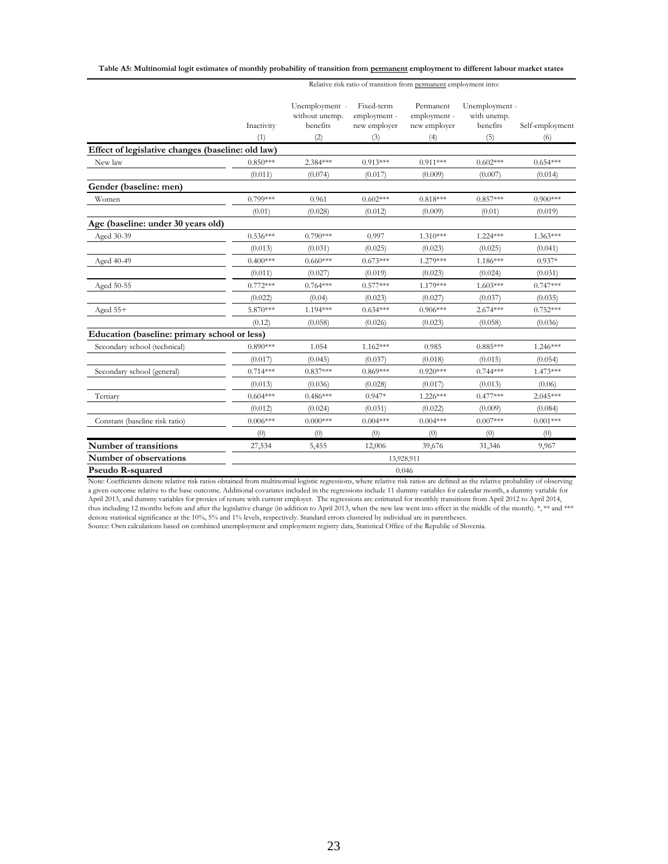#### **Table A5: Multinomial logit estimates of monthly probability of transition from permanent employment to different labour market states**

Relative risk ratio of transition from permanent employment into:

|                                                   | Inactivity<br>(1) | Unemployment -<br>without unemp.<br>benefits<br>(2) | Fixed-term<br>employment -<br>new employer<br>(3) | Permanent<br>employment -<br>new employer<br>(4) | Unemployment -<br>with unemp.<br>benefits<br>(5) | Self-employment<br>(6) |
|---------------------------------------------------|-------------------|-----------------------------------------------------|---------------------------------------------------|--------------------------------------------------|--------------------------------------------------|------------------------|
| Effect of legislative changes (baseline: old law) |                   |                                                     |                                                   |                                                  |                                                  |                        |
| New law                                           | $0.850***$        | $2.384***$                                          | $0.913***$                                        | $0.911***$                                       | $0.602***$                                       | $0.654***$             |
|                                                   | (0.011)           | (0.074)                                             | (0.017)                                           | (0.009)                                          | (0.007)                                          | (0.014)                |
| Gender (baseline: men)                            |                   |                                                     |                                                   |                                                  |                                                  |                        |
| Women                                             | $0.799***$        | 0.961                                               | $0.602***$                                        | $0.818***$                                       | $0.857***$                                       | $0.900$ ***            |
|                                                   | (0.01)            | (0.028)                                             | (0.012)                                           | (0.009)                                          | (0.01)                                           | (0.019)                |
| Age (baseline: under 30 years old)                |                   |                                                     |                                                   |                                                  |                                                  |                        |
| Aged 30-39                                        | $0.536***$        | $0.790***$                                          | 0.997                                             | $1.310***$                                       | $1.224***$                                       | $1.363***$             |
|                                                   | (0.013)           | (0.031)                                             | (0.025)                                           | (0.023)                                          | (0.025)                                          | (0.041)                |
| Aged 40-49                                        | $0.400***$        | $0.660***$                                          | $0.673***$                                        | 1.279***                                         | $1.186***$                                       | $0.937*$               |
|                                                   | (0.011)           | (0.027)                                             | (0.019)                                           | (0.023)                                          | (0.024)                                          | (0.031)                |
| Aged 50-55                                        | $0.772***$        | $0.764***$                                          | $0.577***$                                        | $1.179***$                                       | $1.603***$                                       | $0.747***$             |
|                                                   | (0.022)           | (0.04)                                              | (0.023)                                           | (0.027)                                          | (0.037)                                          | (0.035)                |
| Aged $55+$                                        | 5.870***          | 1.194***                                            | $0.634***$                                        | $0.906***$                                       | $2.674***$                                       | $0.752***$             |
|                                                   | (0.12)            | (0.058)                                             | (0.026)                                           | (0.023)                                          | (0.058)                                          | (0.036)                |
| Education (baseline: primary school or less)      |                   |                                                     |                                                   |                                                  |                                                  |                        |
| Secondary school (technical)                      | $0.890***$        | 1.054                                               | $1.162***$                                        | 0.985                                            | $0.885***$                                       | $1.246***$             |
|                                                   | (0.017)           | (0.045)                                             | (0.037)                                           | (0.018)                                          | (0.015)                                          | (0.054)                |
| Secondary school (general)                        | $0.714***$        | $0.837***$                                          | $0.869***$                                        | $0.920***$                                       | $0.744***$                                       | $1.473***$             |
|                                                   | (0.013)           | (0.036)                                             | (0.028)                                           | (0.017)                                          | (0.013)                                          | (0.06)                 |
| Tertiary                                          | $0.604***$        | $0.486***$                                          | $0.947*$                                          | $1.226***$                                       | $0.477***$                                       | $2.045***$             |
|                                                   | (0.012)           | (0.024)                                             | (0.031)                                           | (0.022)                                          | (0.009)                                          | (0.084)                |
| Constant (baseline risk ratio)                    | $0.006***$        | $0.000***$                                          | $0.004***$                                        | $0.004***$                                       | $0.007***$                                       | $0.001***$             |
|                                                   | (0)               | (0)                                                 | (0)                                               | (0)                                              | (0)                                              | (0)                    |
| Number of transitions                             | 27,534            | 5,455                                               | 12,006                                            | 39,676                                           | 31,346                                           | 9,967                  |
| Number of observations                            |                   |                                                     |                                                   | 13,928,911                                       |                                                  |                        |
| <b>Pseudo R-squared</b>                           |                   |                                                     |                                                   | 0.046                                            |                                                  |                        |

Note: Coefficients denote relative risk ratios obtained from multinomial logistic regressions, where relative risk ratios are defined as the relative probability of observing a given outcome relative to the base outcome. Additional covariates included in the regressions include 11 dummy variables for calendar month, a dummy variable for April 2013, and dummy variables for proxies of tenure with current employer. The regressions are estimated for monthly transitions from April 2012 to April 2014, thus including 12 months before and after the legislative change (in addition to April 2013, when the new law went into effect in the middle of the month). \*, \*\* and \*\*\* denote statistical significance at the 10%, 5% and 1% levels, respectively. Standard errors clustered by individual are in parentheses.

Source: Own calculations based on combined unemployment and employment registry data, Statistical Office of the Republic of Slovenia.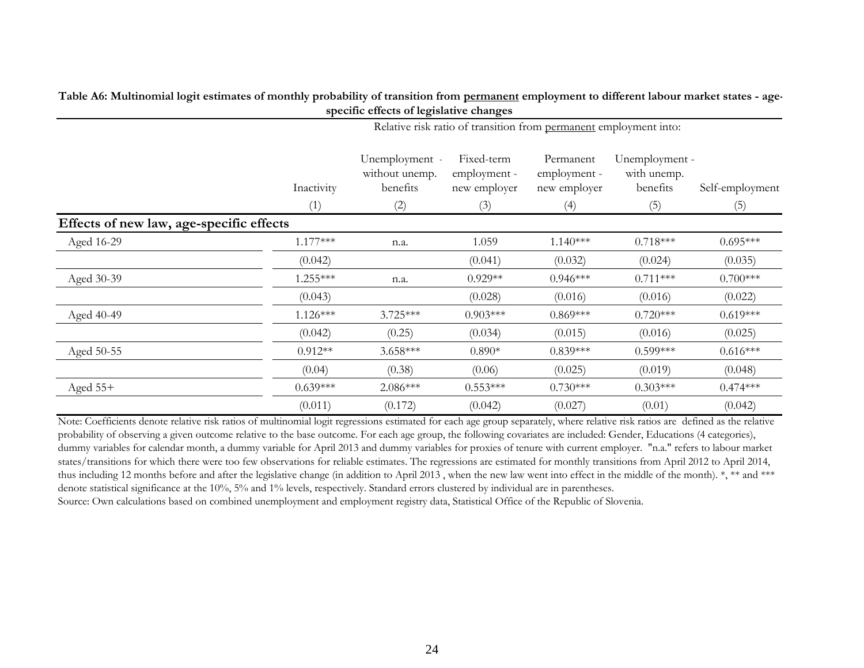|                                          |            | specific effects of legislative changes                           |                                            |                                           |                                           |                 |  |  |  |  |
|------------------------------------------|------------|-------------------------------------------------------------------|--------------------------------------------|-------------------------------------------|-------------------------------------------|-----------------|--|--|--|--|
|                                          |            | Relative risk ratio of transition from permanent employment into: |                                            |                                           |                                           |                 |  |  |  |  |
|                                          | Inactivity | Unemployment -<br>without unemp.<br>benefits                      | Fixed-term<br>employment -<br>new employer | Permanent<br>employment -<br>new employer | Unemployment -<br>with unemp.<br>benefits | Self-employment |  |  |  |  |
|                                          | (1)        | (2)                                                               | (3)                                        | (4)                                       | (5)                                       | (5)             |  |  |  |  |
| Effects of new law, age-specific effects |            |                                                                   |                                            |                                           |                                           |                 |  |  |  |  |
| Aged 16-29                               | $1.177***$ | n.a.                                                              | 1.059                                      | $1.140***$                                | $0.718***$                                | $0.695***$      |  |  |  |  |
|                                          | (0.042)    |                                                                   | (0.041)                                    | (0.032)                                   | (0.024)                                   | (0.035)         |  |  |  |  |
| Aged 30-39                               | $1.255***$ | n.a.                                                              | $0.929**$                                  | $0.946***$                                | $0.711***$                                | $0.700***$      |  |  |  |  |
|                                          | (0.043)    |                                                                   | (0.028)                                    | (0.016)                                   | (0.016)                                   | (0.022)         |  |  |  |  |
| Aged 40-49                               | $1.126***$ | $3.725***$                                                        | $0.903***$                                 | $0.869***$                                | $0.720***$                                | $0.619***$      |  |  |  |  |
|                                          | (0.042)    | (0.25)                                                            | (0.034)                                    | (0.015)                                   | (0.016)                                   | (0.025)         |  |  |  |  |
| Aged 50-55                               | $0.912**$  | $3.658***$                                                        | $0.890*$                                   | $0.839***$                                | $0.599***$                                | $0.616***$      |  |  |  |  |
|                                          | (0.04)     | (0.38)                                                            | (0.06)                                     | (0.025)                                   | (0.019)                                   | (0.048)         |  |  |  |  |
| Aged $55+$                               | $0.639***$ | $2.086***$                                                        | $0.553***$                                 | $0.730***$                                | $0.303***$                                | $0.474***$      |  |  |  |  |
|                                          | (0.011)    | (0.172)                                                           | (0.042)                                    | (0.027)                                   | (0.01)                                    | (0.042)         |  |  |  |  |

**Table A6: Multinomial logit estimates of monthly probability of transition from permanent employment to different labour market states - age-**

Note: Coefficients denote relative risk ratios of multinomial logit regressions estimated for each age group separately, where relative risk ratios are defined as the relative probability of observing a given outcome relative to the base outcome. For each age group, the following covariates are included: Gender, Educations (4 categories), dummy variables for calendar month, a dummy variable for April 2013 and dummy variables for proxies of tenure with current employer. "n.a." refers to labour market states/transitions for which there were too few observations for reliable estimates. The regressions are estimated for monthly transitions from April 2012 to April 2014, thus including 12 months before and after the legislative change (in addition to April 2013, when the new law went into effect in the middle of the month). \*, \*\* and \*\*\* denote statistical significance at the 10%, 5% and 1% levels, respectively. Standard errors clustered by individual are in parentheses. Source: Own calculations based on combined unemployment and employment registry data, Statistical Office of the Republic of Slovenia.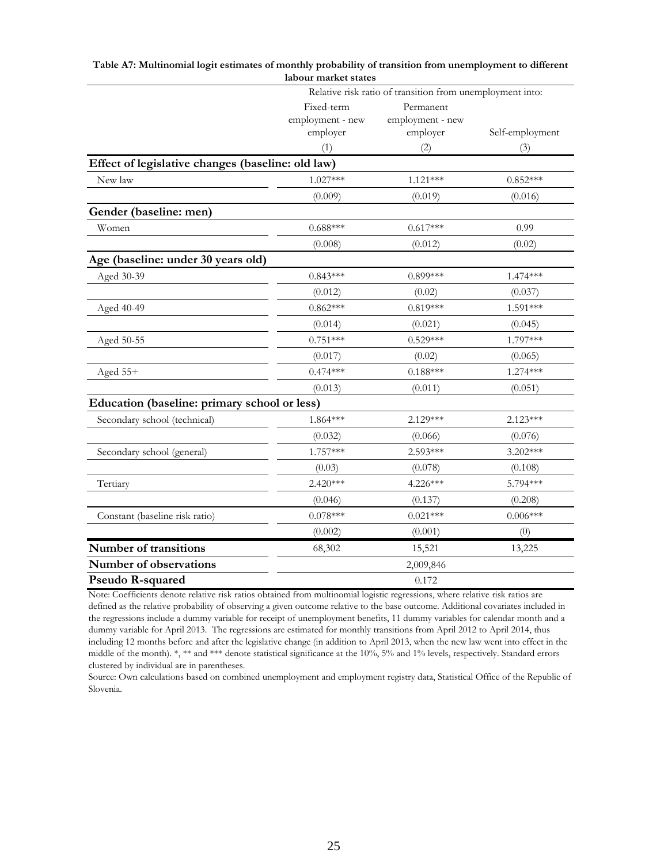|                                                   | iauvui markee states<br>Relative risk ratio of transition from unemployment into: |                  |                 |  |  |  |
|---------------------------------------------------|-----------------------------------------------------------------------------------|------------------|-----------------|--|--|--|
|                                                   | Fixed-term                                                                        | Permanent        |                 |  |  |  |
|                                                   | employment - new                                                                  | employment - new |                 |  |  |  |
|                                                   | employer                                                                          | employer         | Self-employment |  |  |  |
|                                                   | (1)                                                                               | (2)              | (3)             |  |  |  |
| Effect of legislative changes (baseline: old law) |                                                                                   |                  |                 |  |  |  |
| New law                                           | $1.027***$                                                                        | $1.121***$       | $0.852***$      |  |  |  |
|                                                   | (0.009)                                                                           | (0.019)          | (0.016)         |  |  |  |
| Gender (baseline: men)                            |                                                                                   |                  |                 |  |  |  |
| Women                                             | $0.688***$                                                                        | $0.617***$       | 0.99            |  |  |  |
|                                                   | (0.008)                                                                           | (0.012)          | (0.02)          |  |  |  |
| Age (baseline: under 30 years old)                |                                                                                   |                  |                 |  |  |  |
| Aged 30-39                                        | $0.843***$                                                                        | $0.899***$       | $1.474***$      |  |  |  |
|                                                   | (0.012)                                                                           | (0.02)           | (0.037)         |  |  |  |
| Aged 40-49                                        | $0.862***$                                                                        | $0.819***$       | 1.591***        |  |  |  |
|                                                   | (0.014)                                                                           | (0.021)          | (0.045)         |  |  |  |
| Aged 50-55                                        | $0.751***$                                                                        | $0.529***$       | 1.797***        |  |  |  |
|                                                   | (0.017)                                                                           | (0.02)           | (0.065)         |  |  |  |
| Aged 55+                                          | $0.474***$                                                                        | $0.188***$       | 1.274***        |  |  |  |
|                                                   | (0.013)                                                                           | (0.011)          | (0.051)         |  |  |  |
| Education (baseline: primary school or less)      |                                                                                   |                  |                 |  |  |  |
| Secondary school (technical)                      | 1.864***                                                                          | 2.129***         | $2.123***$      |  |  |  |
|                                                   | (0.032)                                                                           | (0.066)          | (0.076)         |  |  |  |
| Secondary school (general)                        | 1.757***                                                                          | 2.593***         | $3.202***$      |  |  |  |
|                                                   | (0.03)                                                                            | (0.078)          | (0.108)         |  |  |  |
| Tertiary                                          | 2.420***                                                                          | 4.226***         | 5.794***        |  |  |  |
|                                                   | (0.046)                                                                           | (0.137)          | (0.208)         |  |  |  |
| Constant (baseline risk ratio)                    | $0.078***$                                                                        | $0.021***$       | $0.006***$      |  |  |  |
|                                                   | (0.002)                                                                           | (0.001)          | (0)             |  |  |  |
| Number of transitions                             | 68,302                                                                            | 15,521           | 13,225          |  |  |  |
| Number of observations                            |                                                                                   | 2,009,846        |                 |  |  |  |
| Pseudo R-squared                                  |                                                                                   | 0.172            |                 |  |  |  |

| Table A7: Multinomial logit estimates of monthly probability of transition from unemployment to different |
|-----------------------------------------------------------------------------------------------------------|
| labour market states                                                                                      |

Note: Coefficients denote relative risk ratios obtained from multinomial logistic regressions, where relative risk ratios are defined as the relative probability of observing a given outcome relative to the base outcome. Additional covariates included in the regressions include a dummy variable for receipt of unemployment benefits, 11 dummy variables for calendar month and a dummy variable for April 2013. The regressions are estimated for monthly transitions from April 2012 to April 2014, thus including 12 months before and after the legislative change (in addition to April 2013, when the new law went into effect in the middle of the month). \*, \*\* and \*\*\* denote statistical significance at the 10%, 5% and 1% levels, respectively. Standard errors clustered by individual are in parentheses.

Source: Own calculations based on combined unemployment and employment registry data, Statistical Office of the Republic of Slovenia.